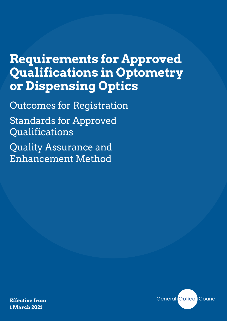## **Requirements for Approved Qualifications in Optometry or Dispensing Optics**

Outcomes for Registration

Standards for Approved Qualifications

Quality Assurance and Enhancement Method

**Effective from 1 March 2021**

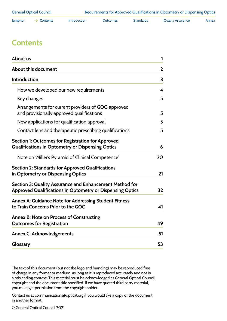<span id="page-1-0"></span>

| lump to: | <b>Contents</b> | <b>Introduction</b> | <b>Jutcomes</b> | <b>Standards</b> | <b>Quality Assurance</b> | Annex |
|----------|-----------------|---------------------|-----------------|------------------|--------------------------|-------|
|----------|-----------------|---------------------|-----------------|------------------|--------------------------|-------|

### **Contents**

| About us                                                                                                             | 1                       |
|----------------------------------------------------------------------------------------------------------------------|-------------------------|
| About this document                                                                                                  | $\mathbf{2}$            |
| <b>Introduction</b>                                                                                                  | 3                       |
| How we developed our new requirements                                                                                | $\overline{\mathbf{4}}$ |
| Key changes                                                                                                          | 5                       |
| Arrangements for current providers of GOC-approved<br>and provisionally approved qualifications                      | 5                       |
| New applications for qualification approval                                                                          | 5                       |
| Contact lens and therapeutic prescribing qualifications                                                              | 5                       |
| Section 1: Outcomes for Registration for Approved<br><b>Qualifications in Optometry or Dispensing Optics</b>         | 6                       |
| Note on 'Miller's Pyramid of Clinical Competence'                                                                    | 20                      |
| <b>Section 2: Standards for Approved Qualifications</b><br>in Optometry or Dispensing Optics                         | 21                      |
| Section 3: Quality Assurance and Enhancement Method for<br>Approved Qualifications in Optometry or Dispensing Optics | 32                      |
| Annex A: Guidance Note for Addressing Student Fitness<br>to Train Concerns Prior to the GOC                          | 41                      |
| <b>Annex B: Note on Process of Constructing</b><br><b>Outcomes for Registration</b>                                  | 49                      |
| <b>Annex C: Acknowledgements</b>                                                                                     | 51                      |
| Glossary                                                                                                             | 53                      |

The text of this document (but not the logo and branding) may be reproduced free of charge in any format or medium, as long as it is reproduced accurately and not in a misleading context. This material must be acknowledged as General Optical Council copyright and the document title specified. If we have quoted third party material, you must get permission from the copyright holder.

Contact us at communications@optical.org if you would like a copy of the document in another format.

© General Optical Council 2021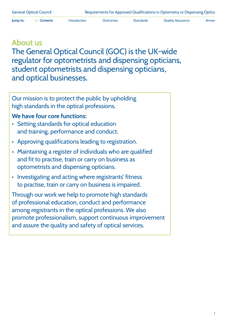<span id="page-2-0"></span>**Jump to:**  $\rightarrow$  **[Contents](#page-1-0)** [Introduction](#page-4-0) [Outcomes](#page-7-0) [Standards](#page-22-0) [Quality Assurance](#page-33-0) [Annex](#page-42-0)

### **About us**

The General Optical Council (GOC) is the UK-wide regulator for optometrists and dispensing opticians, student optometrists and dispensing opticians, and optical businesses.

Our mission is to protect the public by upholding high standards in the optical professions.

#### **We have four core functions:**

- Setting standards for optical education and training, performance and conduct.
- Approving qualifications leading to registration.
- Maintaining a register of individuals who are qualified and fit to practise, train or carry on business as optometrists and dispensing opticians.
- Investigating and acting where registrants' fitness to practise, train or carry on business is impaired.

Through our work we help to promote high standards of professional education, conduct and performance among registrants in the optical professions. We also promote professionalism, support continuous improvement and assure the quality and safety of optical services.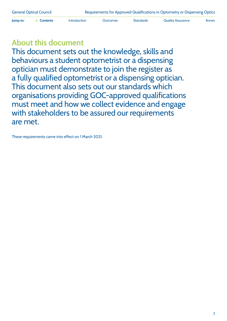<span id="page-3-0"></span>

**Jump to:**  $\rightarrow$  **[Contents](#page-1-0)** [Introduction](#page-4-0) [Outcomes](#page-7-0) [Standards](#page-22-0) [Quality Assurance](#page-33-0) [Annex](#page-42-0)

## **About this document**

This document sets out the knowledge, skills and behaviours a student optometrist or a dispensing optician must demonstrate to join the register as a fully qualified optometrist or a dispensing optician. This document also sets out our standards which organisations providing GOC-approved qualifications must meet and how we collect evidence and engage with stakeholders to be assured our requirements are met.

These requirements came into effect on 1 March 2021.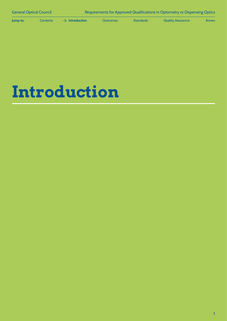<span id="page-4-0"></span>**Jump to:** [Contents](#page-1-0) **Introduction** [Outcomes](#page-7-0) [Standards](#page-22-0) [Quality Assurance](#page-33-0) [Annex](#page-42-0)

## **Introduction**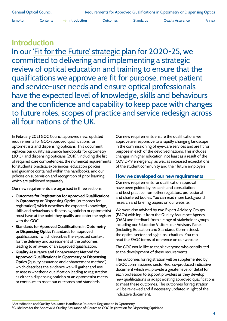<span id="page-5-0"></span>

**Jump to:** [Contents](#page-1-0)  $\rightarrow$  **[Introduction](#page-4-0)** [Outcomes](#page-7-0) [Standards](#page-22-0) [Quality Assurance](#page-33-0) [Annex](#page-42-0)

### **Introduction**

In our ['Fit for the Future' strategic plan](https://www.optical.org/en/about_us/strategic_plan/index.cfm) for 2020-25, we committed to delivering and implementing a strategic review of optical education and training to ensure that the qualifications we approve are fit for purpose, meet patient and service-user needs and ensure optical professionals have the expected level of knowledge, skills and behaviours and the confidence and capability to keep pace with changes to future roles, scopes of practice and service redesign across all four nations of the UK.

In February 2021 GOC Council approved new, updated requirements for GOC-approved qualifications for optometrists and dispensing opticians. This document replaces our quality assurance handbooks for optometry  $(2015)^{1}$  and dispensing opticians  $(2011)^{2}$ , including the list of required core competencies, the numerical requirements for students' practical experiences, education policies and guidance contained within the handbooks, and our policies on supervision and recognition of prior learning, which are published separately.

Our new requirements are organised in three sections:

- **Outcomes for Registration for Approved Qualifications in Optometry or Dispensing Optics** ('outcomes for registration') which describes the expected knowledge, skills and behaviours a dispensing optician or optometrist must have at the point they qualify and enter the register with the GOC.
- **Standards for Approved Qualifications in Optometry or Dispensing Optics** ('standards for approved qualifications') which describes the expected context for the delivery and assessment of the outcomes leading to an award of an approved qualification.
- **Quality Assurance and Enhancement Method for Approved Qualifications in Optometry or Dispensing Optics** ('quality assurance and enhancement method') which describes the evidence we will gather and use to assess whether a qualification leading to registration as either a dispensing optician or an optometrist meets or continues to meet our outcomes and standards.

Our new requirements ensure the qualifications we approve are responsive to a rapidly changing landscape in the commissioning of eye-care services and are fit for purpose in each of the devolved nations. This includes changes in higher education, not least as a result of the COVID-19 emergency, as well as increased expectations of the student community and their future employers.

#### **How we developed our new requirements**

Our new requirements for qualification approval have been guided by research and consultation, and best practice from other regulators, professional and chartered bodies. You can read more background, research and briefing papers on [our website](https://www.optical.org/en/Education/education-strategic-review-esr/esr-policy-development-and-research.cfm).

We were also advised by two Expert Advisory Groups (EAGs) with input from the Quality Assurance Agency (QAA) and feedback from a range of stakeholder groups including our Education Visitors, our Advisory Panel (including Education and Standards Committees), the optical sector and sight loss charities. You can read the EAGs' terms of reference on [our website.](https://www.optical.org/en/Education/education-strategic-review-esr/expert-advisory-groups.cfm)

The GOC would like to thank everyone who contributed to the development of these requirements.

The outcomes for registration will be supplemented by a GOC commissioned sector-led, co-produced indicative document which will provide a greater level of detail for each profession to support providers as they develop new qualifications or adapt existing approved qualifications to meet these outcomes. The outcomes for registration will be reviewed and if necessary updated in light of the indicative document.

<sup>&</sup>lt;sup>1</sup> Accreditation and Quality Assurance Handbook: Routes to Registration in Optometry

<sup>&</sup>lt;sup>2</sup> Guidelines for the Approval & Quality Assurance of: Routes to GOC Registration for Dispensing Opticians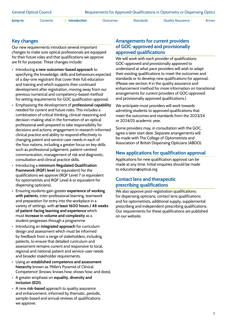<span id="page-6-0"></span>**Jump to:** [Contents](#page-1-0)  $\rightarrow$  **[Introduction](#page-4-0)** [Outcomes](#page-7-0) [Standards](#page-22-0) [Quality Assurance](#page-33-0) [Annex](#page-42-0)

#### **Key changes**

Our new requirements introduce several important changes to make sure optical professionals are equipped for their future roles and that qualifications we approve are fit for purpose. These changes include:

- Introducing **a new outcomes-based approach** to specifying the knowledge, skills and behaviours expected of a day-one registrant that cover their full education and training and which supports their continued development after registration, moving away from our previous numerical and competency-based method for setting requirements for GOC qualification approval.
- Emphasising the development of **professional capability** needed for current and future roles. This includes a combination of critical thinking, clinical-reasoning and decision-making vital in the formation of an optical professional well-prepared to take responsibility for decisions and actions; engagement in research-informed clinical practice and ability to respond effectively to changing patent and service-user needs in each of the four nations, including a greater focus on key skills such as professional judgement, patient-centred communication, management of risk and diagnostic, consultation and clinical practice skills.
- Introducing a **minimum Regulated Qualification Framework (RQF) level** (or equivalent) for the qualifications we approve (RQF Level 7 or equivalent for optometrists and RQF Level 6 or equivalent for dispensing opticians).
- Ensuring students gain greater **experience of working with patients**, inter-professional learning, teamwork and preparation for entry into the workplace in a variety of settings, with **at least 1600 hours / 48 weeks of patient-facing learning and experience** which must **increase in volume and complexity** as a student progresses through a programme.
- Introducing an **integrated approach** for curriculum design and assessment which must be informed by feedback from a range of stakeholders, including patients, to ensure that detailed curriculum and assessment remains current and responsive to local, regional and national patient and service-user needs and broader stakeholder requirements.
- Using an **established competence and assessment hierarchy** known as 'Miller's Pyramid of Clinical Competence' (knows; knows how; shows how; and does).
- A greater emphasis on **equality, diversity and inclusion (EDI).**
- A new **risk-based** approach to quality assurance and enhancement, informed by thematic, periodic, sample-based and annual reviews of qualifications we approve.

#### **Arrangements for current providers of GOC-approved and provisionally approved qualifications**

We will work with each provider of qualifications GOC-approved and provisionally approved to understand at what pace providers will wish to adapt their existing qualifications to meet the outcomes and standards or to develop new qualifications for approval. (Please see section 4 in the quality assurance and enhancement method for more information on transitional arrangements for current providers of GOC-approved and provisionally approved qualifications.)

We anticipate most providers will work towards admitting students to approved qualifications that meet the outcomes and standards from the 2023/24 or 2024/25 academic year.

Some providers may, in consultation with the GOC, agree a later start date. Separate arrangements will be made with The College of Optometrists and Association of British Dispensing Opticians (ABDO).

#### **New applications for qualification approval**

Applications for new qualification approval can be made at any time. Initial enquiries should be made to [education@optical.org](mailto:education%40optical.org?subject=) 

#### **Contact lens and therapeutic prescribing qualifications**

We also approve post-registration qualifications: for dispensing opticians, contact lens qualifications and for optometrists, additional supply, supplemental prescribing and independent prescribing qualifications. Our requirements for these qualifications are published on [our website.](mailto:https://www.optical.org/en/Education/Specialty_qualifications/index.cfm?subject=)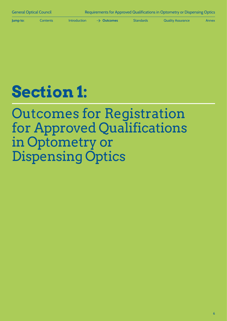<span id="page-7-0"></span>

**Jump to:** [Contents](#page-1-0) [Introduction](#page-4-0)  $\rightarrow$  **Outcomes** [Standards](#page-22-0) [Quality Assurance](#page-33-0) [Annex](#page-42-0)

# **Section 1:**

## Outcomes for Registration for Approved Qualifications in Optometry or Dispensing Optics

6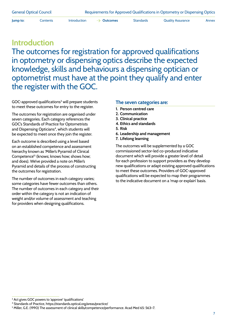**Jump to:** [Contents](#page-1-0) [Introduction](#page-4-0)  $\rightarrow$  **[Outcomes](#page-7-0)** [Standards](#page-22-0) [Quality Assurance](#page-33-0) [Annex](#page-42-0)

## **Introduction** The outcomes for registration for approved qualifications in optometry or dispensing optics describe the expected knowledge, skills and behaviours a dispensing optician or optometrist must have at the point they qualify and enter the register with the GOC.

GOC-approved qualifications<sup>3</sup> will prepare students to meet these outcomes for entry to the register.

The outcomes for registration are organised under seven categories. Each category references the GOC's Standards of Practice for Optometrists and Dispensing Opticians<sup>4</sup>, which students will be expected to meet once they join the register.

Each outcome is described using a level based on an established competence and assessment hierarchy known as 'Miller's Pyramid of Clinical Competence'5 (knows; knows how; shows how; and does). We've provided a note on Miller's Pyramid and details of the process of constructing the outcomes for registration.

The number of outcomes in each category varies; some categories have fewer outcomes than others. The number of outcomes in each category and their order within the category is not an indication of weight and/or volume of assessment and teaching for providers when designing qualifications.

#### **The seven categories are:**

- **1. Person centred care**
- **2. Communication**
- **3. Clinical practice**
- **4. Ethics and standards**
- **5. Risk**
- **6. Leadership and management**
- **7. Lifelong learning**

The outcomes will be supplemented by a GOC commissioned sector-led co-produced indicative document which will provide a greater level of detail for each profession to support providers as they develop new qualifications or adapt existing approved qualifications to meet these outcomes. Providers of GOC-approved qualifications will be expected to map their programmes to the indicative document on a 'map or explain' basis.

<sup>3</sup> Act gives GOC powers to 'approve' 'qualifications'

<sup>4</sup> Standards of Practice, https://standards.optical.org/areas/practice/

<sup>5</sup> Miller, G.E. (1990) The assessment of clinical skills/competence/performance. Acad Med 65: 563–7.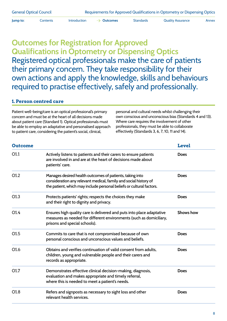**Jump to:** [Contents](#page-1-0) [Introduction](#page-4-0)  $\rightarrow$  **[Outcomes](#page-7-0)** [Standards](#page-22-0) [Quality Assurance](#page-33-0) [Annex](#page-42-0)

## **Outcomes for Registration for Approved Qualifications in Optometry or Dispensing Optics** Registered optical professionals make the care of patients their primary concern. They take responsibility for their own actions and apply the knowledge, skills and behaviours required to practise effectively, safely and professionally.

#### **1. Person centred care**

Patient well-being/care is an optical professional's primary concern and must be at the heart of all decisions made about patient care (Standard 1). Optical professionals must be able to employ an adaptative and personalised approach to patient care, considering the patient's social, clinical,

personal and cultural needs whilst challenging their own conscious and unconscious bias (Standards 4 and 13). Where care requires the involvement of other professionals, they must be able to collaborate effectively (Standards 3, 6, 7, 10, 11 and 14).

| <b>Outcome</b>   |                                                                                                                                                                                                      | <b>Level</b>     |
|------------------|------------------------------------------------------------------------------------------------------------------------------------------------------------------------------------------------------|------------------|
| O1.1             | Actively listens to patients and their carers to ensure patients<br>are involved in and are at the heart of decisions made about<br>patients' care.                                                  | <b>Does</b>      |
| O1.2             | Manages desired health outcomes of patients, taking into<br>consideration any relevant medical, family and social history of<br>the patient, which may include personal beliefs or cultural factors. | <b>Does</b>      |
| O <sub>1.3</sub> | Protects patients' rights; respects the choices they make<br>and their right to dignity and privacy.                                                                                                 | <b>Does</b>      |
| O1.4             | Ensures high quality care is delivered and puts into place adaptative<br>measures as needed for different environments (such as domiciliary,<br>prisons and special schools).                        | <b>Shows how</b> |
| O1.5             | Commits to care that is not compromised because of own<br>personal conscious and unconscious values and beliefs.                                                                                     | <b>Does</b>      |
| O1.6             | Obtains and verifies continuation of valid consent from adults,<br>children, young and vulnerable people and their carers and<br>records as appropriate.                                             | <b>Does</b>      |
| O1.7             | Demonstrates effective clinical decision-making, diagnosis,<br>evaluation and makes appropriate and timely referral,<br>where this is needed to meet a patient's needs.                              | <b>Does</b>      |
| O1.8             | Refers and signposts as necessary to sight loss and other<br>relevant health services.                                                                                                               | <b>Does</b>      |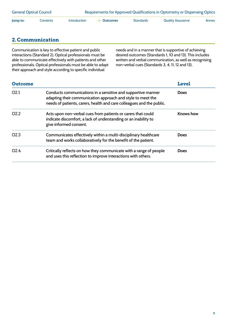| <b>General Optical Council</b> |          |                     | Requirements for Approved Qualifications in Optometry or Dispensing Optics |                  |                   |       |  |
|--------------------------------|----------|---------------------|----------------------------------------------------------------------------|------------------|-------------------|-------|--|
| Jump to:                       | Contents | <b>Introduction</b> | $\rightarrow$ Outcomes                                                     | <b>Standards</b> | Quality Assurance | Annex |  |

#### **2. Communication**

Communication is key to effective patient and public interactions (Standard 2). Optical professionals must be able to communicate effectively with patients and other professionals. Optical professionals must be able to adapt their approach and style according to specific individual

needs and in a manner that is supportive of achieving desired outcomes (Standards 1, 10 and 13). This includes written and verbal communication, as well as recognising non-verbal cues (Standards 3, 4, 11, 12 and 13).

| <b>Outcome</b>   |                                                                                                                                                                                                      | <b>Level</b>     |
|------------------|------------------------------------------------------------------------------------------------------------------------------------------------------------------------------------------------------|------------------|
| O <sub>2.1</sub> | Conducts communications in a sensitive and supportive manner<br>adapting their communication approach and style to meet the<br>needs of patients, carers, health and care colleagues and the public. | <b>Does</b>      |
| O <sub>2.2</sub> | Acts upon non-verbal cues from patients or carers that could<br>indicate discomfort, a lack of understanding or an inability to<br>give informed consent.                                            | <b>Knows</b> how |
| O <sub>2.3</sub> | Communicates effectively within a multi-disciplinary healthcare<br>team and works collaboratively for the benefit of the patient.                                                                    | <b>Does</b>      |
| O <sub>2.4</sub> | Critically reflects on how they communicate with a range of people<br>and uses this reflection to improve interactions with others.                                                                  | <b>Does</b>      |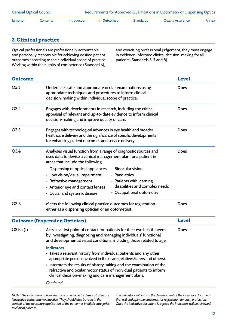| <b>General Optical Council</b> |          |                     |                        |           | Requirements for Approved Qualifications in Optometry or Dispensing Optics |       |
|--------------------------------|----------|---------------------|------------------------|-----------|----------------------------------------------------------------------------|-------|
| lump to:                       | Contents | <b>Introduction</b> | $\rightarrow$ Outcomes | Standards | Quality Assurance                                                          | Annex |

#### **3. Clinical practice**

Optical professionals are professionally accountable and personally responsible for achieving desired patient outcomes according to their individual scope of practice. Working within their limits of competence (Standard 6),

and exercising professional judgement, they must engage in evidence-informed clinical decision-making for all patients (Standards 5, 7 and 8).

| <b>Outcome</b> |                                                                                                                                                                                                                                                                                                                                                                           | <b>Level</b> |
|----------------|---------------------------------------------------------------------------------------------------------------------------------------------------------------------------------------------------------------------------------------------------------------------------------------------------------------------------------------------------------------------------|--------------|
| O3.1           | Undertakes safe and appropriate ocular examinations using<br>appropriate techniques and procedures to inform clinical<br>decision-making within individual scope of practice.                                                                                                                                                                                             | <b>Does</b>  |
| O3.2           | Engages with developments in research, including the critical<br>appraisal of relevant and up-to-date evidence to inform clinical<br>decision-making and improve quality of care.                                                                                                                                                                                         | <b>Does</b>  |
| O3.3           | Engages with technological advances in eye health and broader<br>healthcare delivery and the significance of specific developments<br>for enhancing patient outcomes and service delivery.                                                                                                                                                                                | <b>Does</b>  |
| O3.4           | Analyses visual function from a range of diagnostic sources and<br>uses data to devise a clinical management plan for a patient in<br>areas that include the following:                                                                                                                                                                                                   | <b>Does</b>  |
|                | • Binocular vision<br>• Dispensing of optical appliances<br>• Low vision/visual impairment<br>• Paediatrics<br>• Refractive management<br>• Patients with learning<br>disabilities and complex needs<br>• Anterior eye and contact lenses                                                                                                                                 |              |
|                | • Occupational optometry<br>• Ocular and systemic disease                                                                                                                                                                                                                                                                                                                 |              |
| O3.5           | Meets the following clinical practice outcomes for registration<br>either as a dispensing optician or an optometrist.                                                                                                                                                                                                                                                     | <b>Does</b>  |
|                | <b>Outcome (Dispensing Optician)</b>                                                                                                                                                                                                                                                                                                                                      | <b>Level</b> |
| $O3.5a$ (i)    | Acts as a first point of contact for patients for their eye health needs<br>by investigating, diagnosing and managing individuals' functional<br>and developmental visual conditions, including those related to age.                                                                                                                                                     | <b>Does</b>  |
|                | <b>Indicators</b><br>• Takes a relevant history from individual patients and any other<br>appropriate person involved in their care (relatives/carers and others).<br>• Interprets the results of history-taking and the examination of the<br>refractive and ocular motor status of individual patients to inform<br>clinical decision-making and care management plans. |              |
|                | Continued                                                                                                                                                                                                                                                                                                                                                                 |              |

*NOTE: The indications of how each outcome could be demonstrated are illustrative, rather than exhaustive. They should also be read in the context of the necessary application of the outcomes in all six categories to clinical practice.* 

*The indicators will inform the development of the indicative document that will underpin the outcomes for registration for each profession. Once the indicative document is agreed the indicators will be reviewed.*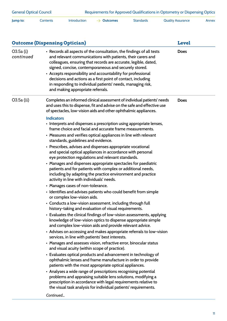| <b>Outcome (Dispensing Optician)</b> | <b>Level</b>                                                                                                                                                                                                                                                                                                                                                                                                                                                                                                                                                                                                                                                                                                                                                                                                                                                                                                                                                                                                                                                                                                                                                                                                                                                                                                                                                                                                                                                                                                                                                                                                                                                                                                                                                                                                                                                                                                                                                                                                                                                                                                               |             |
|--------------------------------------|----------------------------------------------------------------------------------------------------------------------------------------------------------------------------------------------------------------------------------------------------------------------------------------------------------------------------------------------------------------------------------------------------------------------------------------------------------------------------------------------------------------------------------------------------------------------------------------------------------------------------------------------------------------------------------------------------------------------------------------------------------------------------------------------------------------------------------------------------------------------------------------------------------------------------------------------------------------------------------------------------------------------------------------------------------------------------------------------------------------------------------------------------------------------------------------------------------------------------------------------------------------------------------------------------------------------------------------------------------------------------------------------------------------------------------------------------------------------------------------------------------------------------------------------------------------------------------------------------------------------------------------------------------------------------------------------------------------------------------------------------------------------------------------------------------------------------------------------------------------------------------------------------------------------------------------------------------------------------------------------------------------------------------------------------------------------------------------------------------------------------|-------------|
| O3.5a(i)<br>continued                | • Records all aspects of the consultation, the findings of all tests<br>and relevant communications with patients, their carers and<br>colleagues, ensuring that records are accurate, legible, dated,<br>signed, concise, contemporaneous and securely stored.<br>• Accepts responsibility and accountability for professional<br>decisions and actions as a first point of contact, including<br>in responding to individual patients' needs, managing risk,<br>and making appropriate referrals.                                                                                                                                                                                                                                                                                                                                                                                                                                                                                                                                                                                                                                                                                                                                                                                                                                                                                                                                                                                                                                                                                                                                                                                                                                                                                                                                                                                                                                                                                                                                                                                                                        | <b>Does</b> |
| O3.5a (ii)                           | Completes an informed clinical assessment of individual patients' needs<br>and uses this to dispense, fit and advise on the safe and effective use<br>of spectacles, low-vision aids and other ophthalmic appliances.<br><b>Indicators</b><br>• Interprets and dispenses a prescription using appropriate lenses,<br>frame choice and facial and accurate frame measurements.<br>• Measures and verifies optical appliances in line with relevant<br>standards, guidelines and evidence.<br>• Prescribes, advises and dispenses appropriate vocational<br>and special optical appliances in accordance with personal<br>eye protection regulations and relevant standards.<br>• Manages and dispenses appropriate spectacles for paediatric<br>patients and for patients with complex or additional needs,<br>including by adapting the practice environment and practice<br>activity in line with individuals' needs.<br>• Manages cases of non-tolerance.<br>• Identifies and advises patients who could benefit from simple<br>or complex low-vision aids.<br>• Conducts a low-vision assessment, including through full<br>history-taking and evaluation of visual requirements.<br>• Evaluates the clinical findings of low-vision assessments, applying<br>knowledge of low-vision optics to dispense appropriate simple<br>and complex low-vision aids and provide relevant advice.<br>• Advises on accessing and makes appropriate referrals to low-vision<br>services, in line with patients' best interests.<br>• Manages and assesses vision, refractive error, binocular status<br>and visual acuity (within scope of practice).<br>• Evaluates optical products and advancement in technology of<br>ophthalmic lenses and frame manufacture in order to provide<br>patients with the most appropriate optical appliances.<br>• Analyses a wide range of prescriptions recognising potential<br>problems and appraising suitable lens solutions, modifying a<br>prescription in accordance with legal requirements relative to<br>the visual task analysis for individual patients' requirements.<br>Continued | <b>Does</b> |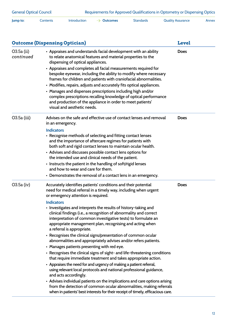|  | Jump to: | Contents | Introduction | $\rightarrow$ Outcomes | Standards | <b>Quality Assurance</b> | Annex |
|--|----------|----------|--------------|------------------------|-----------|--------------------------|-------|
|--|----------|----------|--------------|------------------------|-----------|--------------------------|-------|

|                         | <b>Outcome (Dispensing Optician)</b>                                                                                                                                                                                                                                                                                                                                                                                                                                                                                                                                                                                                                                                                                                                                                                                                                                                                                                                                                                                                                                                                                                                                                                                                             | <b>Level</b> |
|-------------------------|--------------------------------------------------------------------------------------------------------------------------------------------------------------------------------------------------------------------------------------------------------------------------------------------------------------------------------------------------------------------------------------------------------------------------------------------------------------------------------------------------------------------------------------------------------------------------------------------------------------------------------------------------------------------------------------------------------------------------------------------------------------------------------------------------------------------------------------------------------------------------------------------------------------------------------------------------------------------------------------------------------------------------------------------------------------------------------------------------------------------------------------------------------------------------------------------------------------------------------------------------|--------------|
| O3.5a (ii)<br>continued | • Appraises and understands facial development with an ability<br>to relate anatomical features and material properties to the<br>dispensing of optical appliances.<br>• Appraises and completes all facial measurements required for<br>bespoke eyewear, including the ability to modify where necessary<br>frames for children and patients with craniofacial abnormalities.<br>• Modifies, repairs, adjusts and accurately fits optical appliances.<br>• Manages and dispenses prescriptions including high and/or<br>complex prescriptions recalling knowledge of optical performance<br>and production of the appliance in order to meet patients'<br>visual and aesthetic needs.                                                                                                                                                                                                                                                                                                                                                                                                                                                                                                                                                           | <b>Does</b>  |
| O3.5a (iii)             | Advises on the safe and effective use of contact lenses and removal<br>in an emergency.<br><b>Indicators</b><br>• Recognise methods of selecting and fitting contact lenses<br>and the importance of aftercare regimes for patients with<br>both soft and rigid contact lenses to maintain ocular health.<br>• Advises and discusses possible contact lens options for<br>the intended use and clinical needs of the patient.<br>• Instructs the patient in the handling of soft/rigid lenses<br>and how to wear and care for them.<br>• Demonstrates the removal of a contact lens in an emergency.                                                                                                                                                                                                                                                                                                                                                                                                                                                                                                                                                                                                                                             | <b>Does</b>  |
| $O3.5a$ (iv)            | Accurately identifies patients' conditions and their potential<br>need for medical referral in a timely way, including when urgent<br>or emergency attention is required.<br><b>Indicators</b><br>• Investigates and interprets the results of history-taking and<br>clinical findings (i.e., a recognition of abnormality and correct<br>interpretation of common investigative tests) to formulate an<br>appropriate management plan, recognising and acting when<br>a referral is appropriate.<br>• Recognises the clinical signs/presentation of common ocular<br>abnormalities and appropriately advises and/or refers patients.<br>• Manages patients presenting with red eye.<br>• Recognises the clinical signs of sight- and life-threatening conditions<br>that require immediate treatment and takes appropriate action.<br>• Appraises the need for and urgency of making a patient referral,<br>using relevant local protocols and national professional guidance,<br>and acts accordingly.<br>• Advises individual patients on the implications and care options arising<br>from the detection of common ocular abnormalities, making referrals<br>when in patients' best interests for their receipt of timely, efficacious care. | <b>Does</b>  |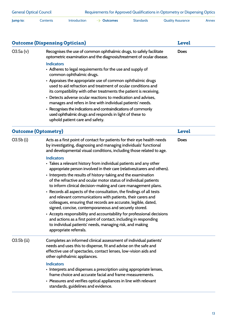| <b>General Optical Council</b> |          |              | Requirements for Approved Qualifications in Optometry or Dispensing Optics |                  |                   |       |  |
|--------------------------------|----------|--------------|----------------------------------------------------------------------------|------------------|-------------------|-------|--|
| lump to:                       | Contents | Introduction | $\rightarrow$ Outcomes                                                     | <b>Standards</b> | Quality Assurance | Annex |  |

|                            | <b>Outcome (Dispensing Optician)</b>                                                                                                                                                                                                                                                                                                                                                                                                                                                                                                                                                                                                                                                                                                                                                                                                                                                                                                                                                                                                                                                                      | <b>Level</b> |
|----------------------------|-----------------------------------------------------------------------------------------------------------------------------------------------------------------------------------------------------------------------------------------------------------------------------------------------------------------------------------------------------------------------------------------------------------------------------------------------------------------------------------------------------------------------------------------------------------------------------------------------------------------------------------------------------------------------------------------------------------------------------------------------------------------------------------------------------------------------------------------------------------------------------------------------------------------------------------------------------------------------------------------------------------------------------------------------------------------------------------------------------------|--------------|
| O3.5a (v)                  | Recognises the use of common ophthalmic drugs, to safely facilitate<br>optometric examination and the diagnosis/treatment of ocular disease.<br><b>Indicators</b><br>• Adheres to legal requirements for the use and supply of<br>common ophthalmic drugs.<br>• Appraises the appropriate use of common ophthalmic drugs<br>used to aid refraction and treatment of ocular conditions and<br>its compatibility with other treatments the patient is receiving.<br>• Detects adverse ocular reactions to medication and advises,<br>manages and refers in line with individual patients' needs.<br>• Recognises the indications and contraindications of commonly<br>used ophthalmic drugs and responds in light of these to<br>uphold patient care and safety.                                                                                                                                                                                                                                                                                                                                            | <b>Does</b>  |
| <b>Outcome (Optometry)</b> |                                                                                                                                                                                                                                                                                                                                                                                                                                                                                                                                                                                                                                                                                                                                                                                                                                                                                                                                                                                                                                                                                                           | <b>Level</b> |
| $O3.5b$ (i)                | Acts as a first point of contact for patients for their eye health needs<br>by investigating, diagnosing and managing individuals' functional<br>and developmental visual conditions, including those related to age.<br><b>Indicators</b><br>• Takes a relevant history from individual patients and any other<br>appropriate person involved in their care (relatives/carers and others).<br>• Interprets the results of history-taking and the examination<br>of the refractive and ocular motor status of individual patients<br>to inform clinical decision-making and care management plans.<br>• Records all aspects of the consultation, the findings of all tests<br>and relevant communications with patients, their carers and<br>colleagues, ensuring that records are accurate, legible, dated,<br>signed, concise, contemporaneous and securely stored.<br>• Accepts responsibility and accountability for professional decisions<br>and actions as a first point of contact, including in responding<br>to individual patients' needs, managing risk, and making<br>appropriate referrals. | <b>Does</b>  |
| $O3.5b$ (ii)               | Completes an informed clinical assessment of individual patients'<br>needs and uses this to dispense, fit and advise on the safe and<br>effective use of spectacles, contact lenses, low-vision aids and<br>other ophthalmic appliances.<br><b>Indicators</b><br>• Interprets and dispenses a prescription using appropriate lenses,<br>frame choice and accurate facial and frame measurements.<br>• Measures and verifies optical appliances in line with relevant<br>standards, guidelines and evidence.                                                                                                                                                                                                                                                                                                                                                                                                                                                                                                                                                                                               |              |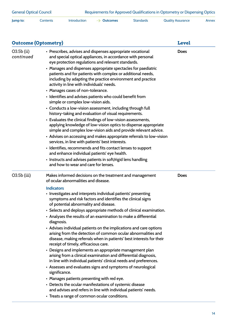| Jump to: | Contents | Introduction $\rightarrow$ Outcomes | Standards | <b>Quality Assurance</b> | Annex |
|----------|----------|-------------------------------------|-----------|--------------------------|-------|

| <b>Outcome (Optometry)</b> | <b>Level</b>                                                                                                                                                                                                                                                                                                                                                                                                                                                                                                                                                                                                                                                                                                                                                                                                                                                                                                                                                                                                                                                                                                                                                                                                                                       |             |
|----------------------------|----------------------------------------------------------------------------------------------------------------------------------------------------------------------------------------------------------------------------------------------------------------------------------------------------------------------------------------------------------------------------------------------------------------------------------------------------------------------------------------------------------------------------------------------------------------------------------------------------------------------------------------------------------------------------------------------------------------------------------------------------------------------------------------------------------------------------------------------------------------------------------------------------------------------------------------------------------------------------------------------------------------------------------------------------------------------------------------------------------------------------------------------------------------------------------------------------------------------------------------------------|-------------|
| $O3.5b$ (ii)<br>continued  | • Prescribes, advises and dispenses appropriate vocational<br>and special optical appliances, in accordance with personal<br>eye protection regulations and relevant standards.<br>• Manages and dispenses appropriate spectacles for paediatric<br>patients and for patients with complex or additional needs,<br>including by adapting the practice environment and practice<br>activity in line with individuals' needs.<br>• Manages cases of non-tolerance.<br>• Identifies and advises patients who could benefit from<br>simple or complex low-vision aids.<br>• Conducts a low-vision assessment, including through full<br>history-taking and evaluation of visual requirements.<br>• Evaluates the clinical findings of low-vision assessments,<br>applying knowledge of low-vision optics to dispense appropriate<br>simple and complex low-vision aids and provide relevant advice.<br>• Advises on accessing and makes appropriate referrals to low-vision<br>services, in line with patients' best interests.<br>• Identifies, recommends and fits contact lenses to support<br>and enhance individual patients' eye health.<br>• Instructs and advises patients in soft/rigid lens handling<br>and how to wear and care for lenses. | <b>Does</b> |
| $O3.5b$ (iii)              | Makes informed decisions on the treatment and management<br>of ocular abnormalities and disease.<br><b>Indicators</b><br>• Investigates and interprets individual patients' presenting<br>symptoms and risk factors and identifies the clinical signs<br>of potential abnormality and disease.<br>• Selects and deploys appropriate methods of clinical examination.<br>• Analyses the results of an examination to make a differential<br>diagnosis.<br>• Advises individual patients on the implications and care options<br>arising from the detection of common ocular abnormalities and<br>disease, making referrals when in patients' best interests for their<br>receipt of timely, efficacious care.<br>• Designs and implements an appropriate management plan<br>arising from a clinical examination and differential diagnosis,<br>in line with individual patients' clinical needs and preferences.<br>• Assesses and evaluates signs and symptoms of neurological<br>significance.<br>• Manages patients presenting with red eye.<br>• Detects the ocular manifestations of systemic disease<br>and advises and refers in line with individual patients' needs.<br>• Treats a range of common ocular conditions.                      | <b>Does</b> |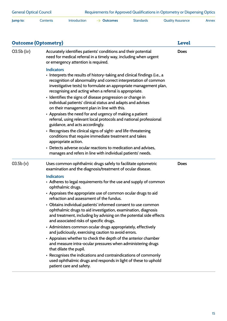| Jump to: | Contents | Introduction | $\rightarrow$ Outcomes | Standards | <b>Quality Assurance</b> | Annex |
|----------|----------|--------------|------------------------|-----------|--------------------------|-------|
|          |          |              |                        |           |                          |       |

| <b>Outcome (Optometry)</b> | <b>Level</b>                                                                                                                                                                                                                                                                                                                                                                                                                                                                                                                                                                                                                                                                                                                                                                                                                                                                                                                  |             |
|----------------------------|-------------------------------------------------------------------------------------------------------------------------------------------------------------------------------------------------------------------------------------------------------------------------------------------------------------------------------------------------------------------------------------------------------------------------------------------------------------------------------------------------------------------------------------------------------------------------------------------------------------------------------------------------------------------------------------------------------------------------------------------------------------------------------------------------------------------------------------------------------------------------------------------------------------------------------|-------------|
| $O3.5b$ (iv)               | Accurately identifies patients' conditions and their potential<br>need for medical referral in a timely way, including when urgent<br>or emergency attention is required.                                                                                                                                                                                                                                                                                                                                                                                                                                                                                                                                                                                                                                                                                                                                                     | <b>Does</b> |
|                            | <b>Indicators</b><br>• Interprets the results of history-taking and clinical findings (i.e., a<br>recognition of abnormality and correct interpretation of common<br>investigative tests) to formulate an appropriate management plan,<br>recognising and acting when a referral is appropriate.<br>• Identifies the signs of disease progression or change in<br>individual patients' clinical status and adapts and advises<br>on their management plan in line with this.<br>• Appraises the need for and urgency of making a patient<br>referral, using relevant local protocols and national professional<br>guidance, and acts accordingly.<br>• Recognises the clinical signs of sight- and life-threatening<br>conditions that require immediate treatment and takes<br>appropriate action.<br>• Detects adverse ocular reactions to medication and advises,                                                          |             |
| 03.5b (v)                  | manages and refers in line with individual patients' needs.<br>Uses common ophthalmic drugs safely to facilitate optometric<br>examination and the diagnosis/treatment of ocular disease.                                                                                                                                                                                                                                                                                                                                                                                                                                                                                                                                                                                                                                                                                                                                     | <b>Does</b> |
|                            | <b>Indicators</b><br>• Adheres to legal requirements for the use and supply of common<br>ophthalmic drugs.<br>• Appraises the appropriate use of common ocular drugs to aid<br>refraction and assessment of the fundus.<br>• Obtains individual patients' informed consent to use common<br>ophthalmic drugs to aid investigation, examination, diagnosis<br>and treatment, including by advising on the potential side effects<br>and associated risks of specific drugs.<br>• Administers common ocular drugs appropriately, effectively<br>and judiciously, exercising caution to avoid errors.<br>• Appraises whether to check the depth of the anterior chamber<br>and measure intra-ocular pressures when administering drugs<br>that dilate the pupil.<br>• Recognises the indications and contraindications of commonly<br>used ophthalmic drugs and responds in light of these to uphold<br>patient care and safety. |             |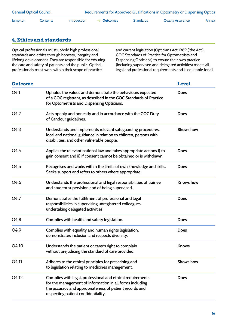| <b>General Optical Council</b> |          |                     | Requirements for Approved Qualifications in Optometry or Dispensing Optics |                  |                   |       |  |
|--------------------------------|----------|---------------------|----------------------------------------------------------------------------|------------------|-------------------|-------|--|
| Jump to:                       | Contents | <b>Introduction</b> | $\rightarrow$ Outcomes                                                     | <b>Standards</b> | Quality Assurance | Annex |  |

#### **4. Ethics and standards**

Optical professionals must uphold high professional standards and ethics through honesty, integrity and lifelong development. They are responsible for ensuring the care and safety of patients and the public. Optical professionals must work within their scope of practice

and current legislation (Opticians Act 1989 ('the Act'), GOC Standards of Practice for Optometrists and Dispensing Opticians) to ensure their own practice (including supervised and delegated activities) meets all legal and professional requirements and is equitable for all.

| <b>Outcome</b>    |                                                                                                                                                                                                                          | <b>Level</b>     |
|-------------------|--------------------------------------------------------------------------------------------------------------------------------------------------------------------------------------------------------------------------|------------------|
| O <sub>4.1</sub>  | Upholds the values and demonstrate the behaviours expected<br>of a GOC registrant, as described in the GOC Standards of Practice<br>for Optometrists and Dispensing Opticians.                                           | <b>Does</b>      |
| O <sub>4.2</sub>  | Acts openly and honestly and in accordance with the GOC Duty<br>of Candour guidelines.                                                                                                                                   | <b>Does</b>      |
| O <sub>4.3</sub>  | Understands and implements relevant safeguarding procedures,<br>local and national guidance in relation to children, persons with<br>disabilities, and other vulnerable people.                                          | <b>Shows how</b> |
| O <sub>4.4</sub>  | Applies the relevant national law and takes appropriate actions i) to<br>gain consent and ii) if consent cannot be obtained or is withdrawn.                                                                             | <b>Does</b>      |
| O <sub>4.5</sub>  | Recognises and works within the limits of own knowledge and skills.<br>Seeks support and refers to others where appropriate.                                                                                             | <b>Does</b>      |
| O <sub>4.6</sub>  | Understands the professional and legal responsibilities of trainee<br>and student supervision and of being supervised.                                                                                                   | <b>Knows</b> how |
| O <sub>4.7</sub>  | Demonstrates the fulfilment of professional and legal<br>responsibilities in supervising unregistered colleagues<br>undertaking delegated activities.                                                                    | <b>Does</b>      |
| O <sub>4.8</sub>  | Complies with health and safety legislation.                                                                                                                                                                             | <b>Does</b>      |
| O <sub>4.9</sub>  | Complies with equality and human rights legislation,<br>demonstrates inclusion and respects diversity.                                                                                                                   | <b>Does</b>      |
| O <sub>4.10</sub> | Understands the patient or carer's right to complain<br>without prejudicing the standard of care provided.                                                                                                               | <b>Knows</b>     |
| O <sub>4.11</sub> | Adheres to the ethical principles for prescribing and<br>to legislation relating to medicines management.                                                                                                                | <b>Shows how</b> |
| O4.12             | Complies with legal, professional and ethical requirements<br>for the management of information in all forms including<br>the accuracy and appropriateness of patient records and<br>respecting patient confidentiality. | <b>Does</b>      |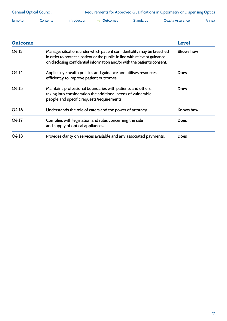| <b>General Optical Council</b> |          |              | Requirements for Approved Qualifications in Optometry or Dispensing Optics |           |                   |       |
|--------------------------------|----------|--------------|----------------------------------------------------------------------------|-----------|-------------------|-------|
| Jump to:                       | Contents | Introduction | $\rightarrow$ Outcomes                                                     | Standards | Quality Assurance | Annex |

| <b>Outcome</b>    |                                                                                                                                                                                                                                    | <b>Level</b>     |
|-------------------|------------------------------------------------------------------------------------------------------------------------------------------------------------------------------------------------------------------------------------|------------------|
| O <sub>4.13</sub> | Manages situations under which patient confidentiality may be breached<br>in order to protect a patient or the public, in line with relevant guidance<br>on disclosing confidential information and/or with the patient's consent. | <b>Shows how</b> |
| O <sub>4.14</sub> | Applies eye health policies and guidance and utilises resources<br>efficiently to improve patient outcomes.                                                                                                                        | <b>Does</b>      |
| O <sub>4.15</sub> | Maintains professional boundaries with patients and others,<br>taking into consideration the additional needs of vulnerable<br>people and specific requests/requirements.                                                          | <b>Does</b>      |
| O <sub>4.16</sub> | Understands the role of carers and the power of attorney.                                                                                                                                                                          | <b>Knows how</b> |
| O <sub>4.17</sub> | Complies with legislation and rules concerning the sale<br>and supply of optical appliances.                                                                                                                                       | <b>Does</b>      |
| O4.18             | Provides clarity on services available and any associated payments.                                                                                                                                                                | <b>Does</b>      |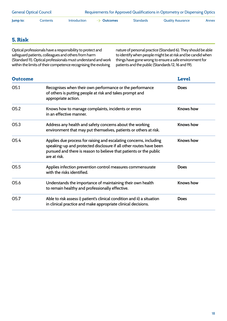| <b>General Optical Council</b> |          |                     | Requirements for Approved Qualifications in Optometry or Dispensing Optics |           |                          |       |  |
|--------------------------------|----------|---------------------|----------------------------------------------------------------------------|-----------|--------------------------|-------|--|
| Jump to:                       | Contents | <b>Introduction</b> | $\rightarrow$ Outcomes                                                     | Standards | <b>Quality Assurance</b> | Annex |  |

#### **5. Risk**

Optical professionals have a responsibility to protect and safeguard patients, colleagues and others from harm (Standard 11). Optical professionals must understand and work within the limits of their competence recognising the evolving

nature of personal practice (Standard 6). They should be able to identify when people might be at risk and be candid when things have gone wrong to ensure a safe environment for patients and the public (Standards 12, 16 and 19).

| <b>Outcome</b>   |                                                                                                                                                                                                                                | <b>Level</b>     |
|------------------|--------------------------------------------------------------------------------------------------------------------------------------------------------------------------------------------------------------------------------|------------------|
| O <sub>5.1</sub> | Recognises when their own performance or the performance<br>of others is putting people at risk and takes prompt and<br>appropriate action.                                                                                    | <b>Does</b>      |
| O <sub>5.2</sub> | Knows how to manage complaints, incidents or errors<br>in an effective manner.                                                                                                                                                 | <b>Knows</b> how |
| O <sub>5.3</sub> | Address any health and safety concerns about the working<br>environment that may put themselves, patients or others at risk.                                                                                                   | <b>Knows</b> how |
| O <sub>5.4</sub> | Applies due process for raising and escalating concerns, including<br>speaking-up and protected disclosure if all other routes have been<br>pursued and there is reason to believe that patients or the public<br>are at risk. | <b>Knows</b> how |
| O <sub>5.5</sub> | Applies infection prevention control measures commensurate<br>with the risks identified.                                                                                                                                       | <b>Does</b>      |
| O <sub>5.6</sub> | Understands the importance of maintaining their own health<br>to remain healthy and professionally effective.                                                                                                                  | <b>Knows</b> how |
| O5.7             | Able to risk assess i) patient's clinical condition and ii) a situation<br>in clinical practice and make appropriate clinical decisions.                                                                                       | <b>Does</b>      |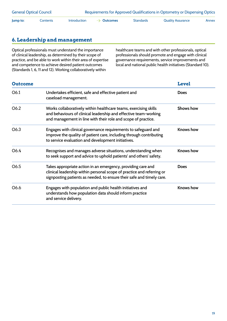| <b>General Optical Council</b> |          |                     | Requirements for Approved Qualifications in Optometry or Dispensing Optics |                  |                   |       |  |
|--------------------------------|----------|---------------------|----------------------------------------------------------------------------|------------------|-------------------|-------|--|
| lump to:                       | Contents | <b>Introduction</b> | $\rightarrow$ Outcomes                                                     | <b>Standards</b> | Quality Assurance | Annex |  |

#### **6. Leadership and management**

Optical professionals must understand the importance of clinical leadership, as determined by their scope of practice, and be able to work within their area of expertise and competence to achieve desired patient outcomes (Standards 1, 6, 11 and 12). Working collaboratively within

healthcare teams and with other professionals, optical professionals should promote and engage with clinical governance requirements, service improvements and local and national public health initiatives (Standard 10).

| <b>Outcome</b> |                                                                                                                                                                                                                 | <b>Level</b>     |
|----------------|-----------------------------------------------------------------------------------------------------------------------------------------------------------------------------------------------------------------|------------------|
| O6.1           | Undertakes efficient, safe and effective patient and<br>caseload management.                                                                                                                                    | <b>Does</b>      |
| O6.2           | Works collaboratively within healthcare teams, exercising skills<br>and behaviours of clinical leadership and effective team-working<br>and management in line with their role and scope of practice.           | <b>Shows how</b> |
| O6.3           | Engages with clinical governance requirements to safeguard and<br>improve the quality of patient care, including through contributing<br>to service evaluation and development initiatives.                     | <b>Knows how</b> |
| O6.4           | Recognises and manages adverse situations, understanding when<br>to seek support and advice to uphold patients' and others' safety.                                                                             | <b>Knows how</b> |
| O6.5           | Takes appropriate action in an emergency, providing care and<br>clinical leadership within personal scope of practice and referring or<br>signposting patients as needed, to ensure their safe and timely care. | <b>Does</b>      |
| O6.6           | Engages with population and public health initiatives and<br>understands how population data should inform practice<br>and service delivery.                                                                    | <b>Knows how</b> |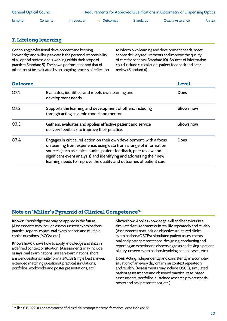<span id="page-21-0"></span>

| <b>General Optical Council</b> |          |                     | Requirements for Approved Qualifications in Optometry or Dispensing Optics |                  |                   |       |  |
|--------------------------------|----------|---------------------|----------------------------------------------------------------------------|------------------|-------------------|-------|--|
| lump to:                       | Contents | <b>Introduction</b> | $\rightarrow$ Outcomes                                                     | <b>Standards</b> | Quality Assurance | Annex |  |

#### **7. Lifelong learning**

Continuing professional development and keeping knowledge and skills up to date is the personal responsibility of all optical professionals working within their scope of practice (Standard 5). Their own performance and that of others must be evaluated by an ongoing process of reflection to inform own learning and development needs, meet service delivery requirements and improve the quality of care for patients (Standard 10). Sources of information could include clinical audit, patient feedback and peer review (Standard 6).

| <b>Outcome</b>   |                                                                                                                                                                                                                                                                                                                                                                    | <b>Level</b>     |
|------------------|--------------------------------------------------------------------------------------------------------------------------------------------------------------------------------------------------------------------------------------------------------------------------------------------------------------------------------------------------------------------|------------------|
| O7.1             | Evaluates, identifies, and meets own learning and<br>development needs.                                                                                                                                                                                                                                                                                            | <b>Does</b>      |
| O <sub>7.2</sub> | Supports the learning and development of others, including<br>through acting as a role model and mentor.                                                                                                                                                                                                                                                           | <b>Shows how</b> |
| O7.3             | Gathers, evaluates and applies effective patient and service<br>delivery feedback to improve their practice.                                                                                                                                                                                                                                                       | <b>Shows how</b> |
| O7.4             | Engages in critical reflection on their own development, with a focus<br>on learning from experience, using data from a range of information<br>sources (such as clinical audits, patient feedback, peer review and<br>significant event analysis) and identifying and addressing their new<br>learning needs to improve the quality and outcomes of patient care. | <b>Does</b>      |

#### **Note on 'Miller's Pyramid of Clinical Competence'6**

**Knows:** Knowledge that may be applied in the future. (Assessments may include essays, unseen examinations, practical reports, essays, oral examinations and multiple choice questions (MCQs), etc.)

**Knows how:** Knows how to apply knowledge and skills in a defined context or situation. (Assessments may include essays, oral examinations, unseen examinations, short answer questions, multi-format MCQs (single best answer, extended matching questions), practical simulations, portfolios, workbooks and poster presentations, etc.)

**Shows how:** Applies knowledge, skill and behaviour in a simulated environment or in real life repeatedly and reliably. (Assessments may include objective structured clinical examinations (OSCEs), simulated patient assessments, oral and poster presentations, designing, conducting and reporting an experiment, dispensing tests and taking a patient history, unseen examinations involving patient cases, etc.)

**Does:** Acting independently and consistently in a complex situation of an every day or familiar context repeatedly and reliably. (Assessments may include OSCEs, simulated patient assessments and observed practice, case-based assessments, portfolios, sustained research project (thesis, poster and oral presentation), etc.)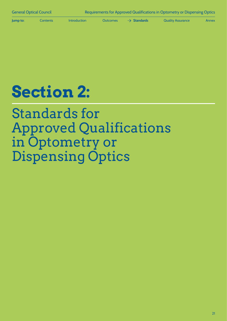<span id="page-22-0"></span>

**Jump to:** [Contents](#page-1-0) Introduction [Outcomes](#page-7-0) **Standards** [Quality Assurance](#page-33-0) [Annex](#page-42-0)

# **Section 2:**

Standards for Approved Qualifications in Optometry or Dispensing Optics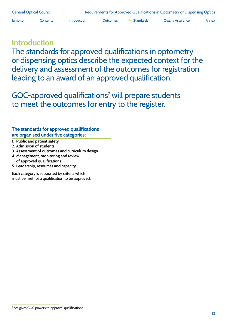**Jump to:** [Contents](#page-1-0) [Introduction](#page-4-0) [Outcomes](#page-7-0)  $\rightarrow$  **[Standards](#page-22-0)** [Quality Assurance](#page-33-0) [Annex](#page-42-0)

## **Introduction**

The standards for approved qualifications in optometry or dispensing optics describe the expected context for the delivery and assessment of the outcomes for registration leading to an award of an approved qualification.

GOC-approved qualifications<sup>7</sup> will prepare students to meet the outcomes for entry to the register.

#### **The standards for approved qualifications are organised under five categories:**

- **1. Public and patient safety**
- **2. Admission of students**
- **3. Assessment of outcomes and curriculum design**
- **4. Management, monitoring and review of approved qualifications**
- **5. Leadership, resources and capacity**

Each category is supported by criteria which must be met for a qualification to be approved.

<sup>7</sup> Act gives GOC powers to 'approve' 'qualifications'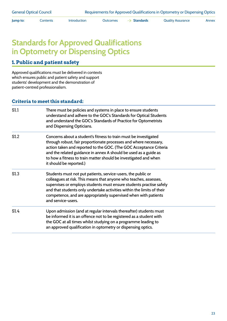**Jump to:** [Contents](#page-1-0) [Introduction](#page-4-0) [Outcomes](#page-7-0)  $\rightarrow$  [Standards](#page-22-0) [Quality Assurance](#page-33-0) [Annex](#page-42-0)

## **Standards for Approved Qualifications in Optometry or Dispensing Optics**

#### **1. Public and patient safety**

Approved qualifications must be delivered in contexts which ensures public and patient safety and support students' development and the demonstration of patient-centred professionalism.

| S <sub>1.1</sub> | There must be policies and systems in place to ensure students<br>understand and adhere to the GOC's Standards for Optical Students<br>and understand the GOC's Standards of Practice for Optometrists<br>and Dispensing Opticians.                                                                                                                                            |
|------------------|--------------------------------------------------------------------------------------------------------------------------------------------------------------------------------------------------------------------------------------------------------------------------------------------------------------------------------------------------------------------------------|
| S <sub>1.2</sub> | Concerns about a student's fitness to train must be investigated<br>through robust, fair proportionate processes and where necessary,<br>action taken and reported to the GOC. (The GOC Acceptance Criteria<br>and the related guidance in annex A should be used as a guide as<br>to how a fitness to train matter should be investigated and when<br>it should be reported.) |
| S <sub>1.3</sub> | Students must not put patients, service-users, the public or<br>colleagues at risk. This means that anyone who teaches, assesses,<br>supervises or employs students must ensure students practise safely<br>and that students only undertake activities within the limits of their<br>competence, and are appropriately supervised when with patients<br>and service-users.    |
| S1.4             | Upon admission (and at regular intervals thereafter) students must<br>be informed it is an offence not to be registered as a student with<br>the GOC at all times whilst studying on a programme leading to<br>an approved qualification in optometry or dispensing optics.                                                                                                    |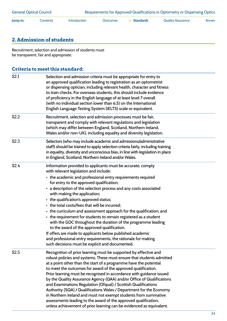| <b>General Optical Council</b> |          |                     | Requirements for Approved Qualifications in Optometry or Dispensing Optics |                         |                          |       |  |
|--------------------------------|----------|---------------------|----------------------------------------------------------------------------|-------------------------|--------------------------|-------|--|
| Jump to:                       | Contents | <b>Introduction</b> | <b>Outcomes</b>                                                            | $\rightarrow$ Standards | <b>Quality Assurance</b> | Annex |  |

#### **2. Admission of students**

Recruitment, selection and admission of students must be transparent, fair and appropriate.

| S2.1             | Selection and admission criteria must be appropriate for entry to<br>an approved qualification leading to registration as an optometrist<br>or dispensing optician, including relevant health, character and fitness<br>to train checks. For overseas students, this should include evidence<br>of proficiency in the English language of at least level 7 overall<br>(with no individual section lower than 6.5) on the International<br>English Language Testing System (IELTS) scale or equivalent.                                                                                                                                                                                                                                                                                                                                                       |
|------------------|--------------------------------------------------------------------------------------------------------------------------------------------------------------------------------------------------------------------------------------------------------------------------------------------------------------------------------------------------------------------------------------------------------------------------------------------------------------------------------------------------------------------------------------------------------------------------------------------------------------------------------------------------------------------------------------------------------------------------------------------------------------------------------------------------------------------------------------------------------------|
| S <sub>2.2</sub> | Recruitment, selection and admission processes must be fair,<br>transparent and comply with relevant regulations and legislation<br>(which may differ between England, Scotland, Northern Ireland,<br>Wales and/or non-UK), including equality and diversity legislation.                                                                                                                                                                                                                                                                                                                                                                                                                                                                                                                                                                                    |
| S <sub>2.3</sub> | Selectors (who may include academic and admissions/administrative<br>staff) should be trained to apply selection criteria fairly, including training<br>in equality, diversity and unconscious bias, in line with legislation in place<br>in England, Scotland, Northern Ireland and/or Wales.                                                                                                                                                                                                                                                                                                                                                                                                                                                                                                                                                               |
| S2.4             | Information provided to applicants must be accurate, comply<br>with relevant legislation and include:<br>• the academic and professional entry requirements required<br>for entry to the approved qualification;<br>• a description of the selection process and any costs associated<br>with making the application;<br>• the qualification's approved status;<br>• the total costs/fees that will be incurred;<br>• the curriculum and assessment approach for the qualification; and<br>• the requirement for students to remain registered as a student<br>with the GOC throughout the duration of the programme leading<br>to the award of the approved qualification.<br>If offers are made to applicants below published academic<br>and professional entry requirements, the rationale for making<br>such decisions must be explicit and documented. |
| S2.5             | Recognition of prior learning must be supported by effective and<br>robust policies and systems. These must ensure that students admitted<br>at a point other than the start of a programme have the potential<br>to meet the outcomes for award of the approved qualification.<br>Prior learning must be recognised in accordance with guidance issued<br>by the Quality Assurance Agency (QAA) and/or Office of Qualifications<br>and Examinations Regulation (Ofqual) / Scottish Qualifications<br>Authority (SQA) / Qualifications Wales / Department for the Economy<br>in Northern Ireland and must not exempt students from summative<br>assessments leading to the award of the approved qualification,<br>unless achievement of prior learning can be evidenced as equivalent.                                                                      |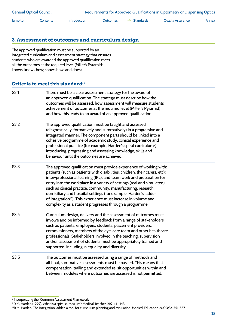| <b>General Optical Council</b> |          |                     | Requirements for Approved Qualifications in Optometry or Dispensing Optics |                         |                          |       |  |
|--------------------------------|----------|---------------------|----------------------------------------------------------------------------|-------------------------|--------------------------|-------|--|
| Jump to:                       | Contents | <b>Introduction</b> | Outcomes                                                                   | $\rightarrow$ Standards | <b>Quality Assurance</b> | Annex |  |

#### **3. Assessment of outcomes and curriculum design**

The approved qualification must be supported by an integrated curriculum and assessment strategy that ensures students who are awarded the approved qualification meet all the outcomes at the required level (Miller's Pyramid: knows; knows how; shows how; and does).

| S3.1 | There must be a clear assessment strategy for the award of<br>an approved qualification. The strategy must describe how the<br>outcomes will be assessed, how assessment will measure students'<br>achievement of outcomes at the required level (Miller's Pyramid)<br>and how this leads to an award of an approved qualification.                                                                                                                                                                                                                                                 |
|------|-------------------------------------------------------------------------------------------------------------------------------------------------------------------------------------------------------------------------------------------------------------------------------------------------------------------------------------------------------------------------------------------------------------------------------------------------------------------------------------------------------------------------------------------------------------------------------------|
| S3.2 | The approved qualification must be taught and assessed<br>(diagnostically, formatively and summatively) in a progressive and<br>integrated manner. The component parts should be linked into a<br>cohesive programme of academic study, clinical experience and<br>professional practice (for example, Harden's spiral curriculum <sup>9</sup> ),<br>introducing, progressing and assessing knowledge, skills and<br>behaviour until the outcomes are achieved.                                                                                                                     |
| S3.3 | The approved qualification must provide experience of working with:<br>patients (such as patients with disabilities, children, their carers, etc);<br>inter-professional learning (IPL); and team work and preparation for<br>entry into the workplace in a variety of settings (real and simulated)<br>such as clinical practice, community, manufacturing, research,<br>domiciliary and hospital settings (for example, Harden's ladder<br>of integration <sup>10</sup> ). This experience must increase in volume and<br>complexity as a student progresses through a programme. |
| S3.4 | Curriculum design, delivery and the assessment of outcomes must<br>involve and be informed by feedback from a range of stakeholders<br>such as patients, employers, students, placement providers,<br>commissioners, members of the eye-care team and other healthcare<br>professionals. Stakeholders involved in the teaching, supervision<br>and/or assessment of students must be appropriately trained and<br>supported, including in equality and diversity.                                                                                                                   |
| S3.5 | The outcomes must be assessed using a range of methods and<br>all final, summative assessments must be passed. This means that<br>compensation, trailing and extended re-sit opportunities within and<br>between modules where outcomes are assessed is not permitted.                                                                                                                                                                                                                                                                                                              |

<sup>8</sup> Incorporating the 'Common Assessment Framework'

<sup>9</sup> R.M. Harden (1999), What is a spiral curriculum? Medical Teacher, 21:2, 141-143

<sup>10</sup> R.M. Harden, The integration ladder: a tool for curriculum planning and evaluation. Medical Education 2000;34:551-557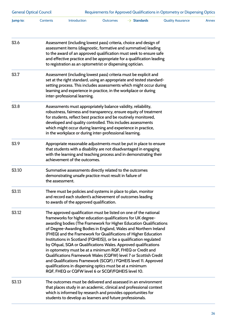| <b>General Optical Council</b> |                 | Requirements for Approved Qualifications in Optometry or Dispensing Optics                                                                                                                                                                                                                                                                                                                                                                                                                                                                                                                                                                                                                                                                                                                                     |          |                         |                          |       |  |  |
|--------------------------------|-----------------|----------------------------------------------------------------------------------------------------------------------------------------------------------------------------------------------------------------------------------------------------------------------------------------------------------------------------------------------------------------------------------------------------------------------------------------------------------------------------------------------------------------------------------------------------------------------------------------------------------------------------------------------------------------------------------------------------------------------------------------------------------------------------------------------------------------|----------|-------------------------|--------------------------|-------|--|--|
| Jump to:                       | Contents        | Introduction                                                                                                                                                                                                                                                                                                                                                                                                                                                                                                                                                                                                                                                                                                                                                                                                   | Outcomes | $\rightarrow$ Standards | <b>Quality Assurance</b> | Annex |  |  |
| S3.6                           |                 | Assessment (including lowest pass) criteria, choice and design of<br>assessment items (diagnostic, formative and summative) leading<br>to the award of an approved qualification must seek to ensure safe<br>and effective practice and be appropriate for a qualification leading<br>to registration as an optometrist or dispensing optician.                                                                                                                                                                                                                                                                                                                                                                                                                                                                |          |                         |                          |       |  |  |
| S3.7                           |                 | Assessment (including lowest pass) criteria must be explicit and<br>set at the right standard, using an appropriate and tested standard-<br>setting process. This includes assessments which might occur during<br>learning and experience in practice, in the workplace or during<br>inter-professional learning.                                                                                                                                                                                                                                                                                                                                                                                                                                                                                             |          |                         |                          |       |  |  |
| S3.8                           |                 | Assessments must appropriately balance validity, reliability,<br>robustness, fairness and transparency, ensure equity of treatment<br>for students, reflect best practice and be routinely monitored,<br>developed and quality controlled. This includes assessments<br>which might occur during learning and experience in practice,<br>in the workplace or during inter-professional learning.                                                                                                                                                                                                                                                                                                                                                                                                               |          |                         |                          |       |  |  |
| S <sub>3.9</sub>               |                 | Appropriate reasonable adjustments must be put in place to ensure<br>that students with a disability are not disadvantaged in engaging<br>with the learning and teaching process and in demonstrating their<br>achievement of the outcomes.                                                                                                                                                                                                                                                                                                                                                                                                                                                                                                                                                                    |          |                         |                          |       |  |  |
| S3.10                          | the assessment. | Summative assessments directly related to the outcomes<br>demonstrating unsafe practice must result in failure of                                                                                                                                                                                                                                                                                                                                                                                                                                                                                                                                                                                                                                                                                              |          |                         |                          |       |  |  |
| S3.11                          |                 | There must be policies and systems in place to plan, monitor<br>and record each student's achievement of outcomes leading<br>to awards of the approved qualification.                                                                                                                                                                                                                                                                                                                                                                                                                                                                                                                                                                                                                                          |          |                         |                          |       |  |  |
| S3.12                          |                 | The approved qualification must be listed on one of the national<br>frameworks for higher education qualifications for UK degree-<br>awarding bodies (The Framework for Higher Education Qualifications<br>of Degree-Awarding Bodies in England, Wales and Northern Ireland<br>(FHEQ) and the Framework for Qualifications of Higher Education<br>Institutions in Scotland (FQHEIS)), or be a qualification regulated<br>by Ofqual, SQA or Qualifications Wales. Approved qualifications<br>in optometry must be at a minimum RQF, FHEQ or Credit and<br>Qualifications Framework Wales (CQFW) level 7 or Scottish Credit<br>and Qualifications Framework (SCQF) / FQHEIS level 11. Approved<br>qualifications in dispensing optics must be at a minimum<br>RQF, FHEQ or CQFW level 6 or SCQF/FQHEIS level 10. |          |                         |                          |       |  |  |
| S3.13                          |                 | The outcomes must be delivered and assessed in an environment<br>that places study in an academic, clinical and professional context<br>which is informed by research and provides opportunities for<br>students to develop as learners and future professionals.                                                                                                                                                                                                                                                                                                                                                                                                                                                                                                                                              |          |                         |                          |       |  |  |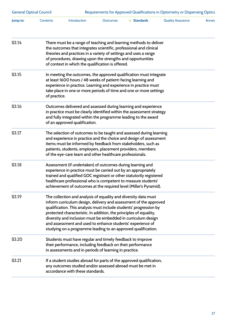| <b>General Optical Council</b> |                                                                                                                                                                                                                                                                                                                                            |                                                                                                                                                                                   | Requirements for Approved Qualifications in Optometry or Dispensing Optics |                                                                                                                                                                                                                                                                                                                                                                                                                    |                          |       |  |
|--------------------------------|--------------------------------------------------------------------------------------------------------------------------------------------------------------------------------------------------------------------------------------------------------------------------------------------------------------------------------------------|-----------------------------------------------------------------------------------------------------------------------------------------------------------------------------------|----------------------------------------------------------------------------|--------------------------------------------------------------------------------------------------------------------------------------------------------------------------------------------------------------------------------------------------------------------------------------------------------------------------------------------------------------------------------------------------------------------|--------------------------|-------|--|
| Jump to:                       | Contents                                                                                                                                                                                                                                                                                                                                   | Introduction                                                                                                                                                                      | <b>Outcomes</b>                                                            | $\rightarrow$ Standards                                                                                                                                                                                                                                                                                                                                                                                            | <b>Quality Assurance</b> | Annex |  |
| S3.14                          | There must be a range of teaching and learning methods to deliver<br>the outcomes that integrates scientific, professional and clinical<br>theories and practices in a variety of settings and uses a range<br>of procedures, drawing upon the strengths and opportunities<br>of context in which the qualification is offered.            |                                                                                                                                                                                   |                                                                            |                                                                                                                                                                                                                                                                                                                                                                                                                    |                          |       |  |
| S3.15                          | of practice.                                                                                                                                                                                                                                                                                                                               | at least 1600 hours / 48 weeks of patient-facing learning and                                                                                                                     |                                                                            | In meeting the outcomes, the approved qualification must integrate<br>experience in practice. Learning and experience in practice must<br>take place in one or more periods of time and one or more settings                                                                                                                                                                                                       |                          |       |  |
| S <sub>3.16</sub>              | Outcomes delivered and assessed during learning and experience<br>in practice must be clearly identified within the assessment strategy<br>and fully integrated within the programme leading to the award<br>of an approved qualification.                                                                                                 |                                                                                                                                                                                   |                                                                            |                                                                                                                                                                                                                                                                                                                                                                                                                    |                          |       |  |
| S3.17                          | The selection of outcomes to be taught and assessed during learning<br>and experience in practice and the choice and design of assessment<br>items must be informed by feedback from stakeholders, such as<br>patients, students, employers, placement providers, members<br>of the eye-care team and other healthcare professionals.      |                                                                                                                                                                                   |                                                                            |                                                                                                                                                                                                                                                                                                                                                                                                                    |                          |       |  |
| S3.18                          | Assessment (if undertaken) of outcomes during learning and<br>experience in practice must be carried out by an appropriately<br>trained and qualified GOC registrant or other statutorily registered<br>healthcare professional who is competent to measure students'<br>achievement of outcomes at the required level (Miller's Pyramid). |                                                                                                                                                                                   |                                                                            |                                                                                                                                                                                                                                                                                                                                                                                                                    |                          |       |  |
| S3.19                          |                                                                                                                                                                                                                                                                                                                                            | and assessment and used to enhance students' experience of                                                                                                                        |                                                                            | The collection and analysis of equality and diversity data must<br>inform curriculum design, delivery and assessment of the approved<br>qualification. This analysis must include students' progression by<br>protected characteristic. In addition, the principles of equality,<br>diversity and inclusion must be embedded in curriculum design<br>studying on a programme leading to an approved qualification. |                          |       |  |
| S3.20                          |                                                                                                                                                                                                                                                                                                                                            | Students must have regular and timely feedback to improve<br>their performance, including feedback on their performance<br>in assessments and in periods of learning in practice. |                                                                            |                                                                                                                                                                                                                                                                                                                                                                                                                    |                          |       |  |
| S3.21                          |                                                                                                                                                                                                                                                                                                                                            | accordance with these standards.                                                                                                                                                  |                                                                            | If a student studies abroad for parts of the approved qualification,<br>any outcomes studied and/or assessed abroad must be met in                                                                                                                                                                                                                                                                                 |                          |       |  |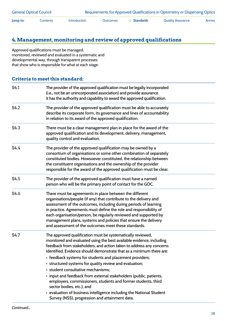#### **4. Management, monitoring and review of approved qualifications**

Approved qualifications must be managed, monitored, reviewed and evaluated in a systematic and developmental way, through transparent processes that show who is responsible for what at each stage.

| S4.1 | The provider of the approved qualification must be legally incorporated<br>(i.e., not be an unincorporated association) and provide assurance<br>it has the authority and capability to award the approved qualification.                                                                                                                                                                                                                                                                                                                                                                                                                                                                                                                      |
|------|------------------------------------------------------------------------------------------------------------------------------------------------------------------------------------------------------------------------------------------------------------------------------------------------------------------------------------------------------------------------------------------------------------------------------------------------------------------------------------------------------------------------------------------------------------------------------------------------------------------------------------------------------------------------------------------------------------------------------------------------|
| S4.2 | The provider of the approved qualification must be able to accurately<br>describe its corporate form, its governance and lines of accountability<br>in relation to its award of the approved qualification.                                                                                                                                                                                                                                                                                                                                                                                                                                                                                                                                    |
| S4.3 | There must be a clear management plan in place for the award of the<br>approved qualification and its development, delivery, management,<br>quality control and evaluation.                                                                                                                                                                                                                                                                                                                                                                                                                                                                                                                                                                    |
| S4.4 | The provider of the approved qualification may be owned by a<br>consortium of organisations or some other combination of separately<br>constituted bodies. Howsoever constituted, the relationship between<br>the constituent organisations and the ownership of the provider<br>responsible for the award of the approved qualification must be clear.                                                                                                                                                                                                                                                                                                                                                                                        |
| S4.5 | The provider of the approved qualification must have a named<br>person who will be the primary point of contact for the GOC.                                                                                                                                                                                                                                                                                                                                                                                                                                                                                                                                                                                                                   |
| S4.6 | There must be agreements in place between the different<br>organisations/people (if any) that contribute to the delivery and<br>assessment of the outcomes, including during periods of learning<br>in practice. Agreements must define the role and responsibility of<br>each organisation/person, be regularly reviewed and supported by<br>management plans, systems and policies that ensure the delivery<br>and assessment of the outcomes meet these standards.                                                                                                                                                                                                                                                                          |
| S4.7 | The approved qualification must be systematically reviewed,<br>monitored and evaluated using the best available evidence, including<br>feedback from stakeholders, and action taken to address any concerns<br>identified. Evidence should demonstrate that as a minimum there are:<br>• feedback systems for students and placement providers;<br>• structured systems for quality review and evaluation;<br>· student consultative mechanisms;<br>• input and feedback from external stakeholders (public, patients,<br>employers, commissioners, students and former students, third<br>sector bodies, etc.); and<br>• evaluation of business intelligence including the National Student<br>Survey (NSS), progression and attainment data. |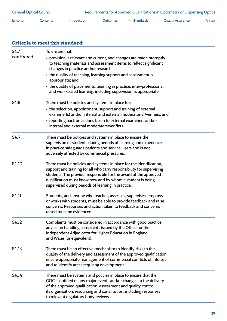| S <sub>4.7</sub> | To ensure that:                                                                                                                          |  |  |  |  |  |
|------------------|------------------------------------------------------------------------------------------------------------------------------------------|--|--|--|--|--|
| continued        | • provision is relevant and current, and changes are made promptly<br>to teaching materials and assessment items to reflect significant  |  |  |  |  |  |
|                  | changes in practice and/or research;                                                                                                     |  |  |  |  |  |
|                  | • the quality of teaching, learning support and assessment is<br>appropriate; and                                                        |  |  |  |  |  |
|                  | • the quality of placements, learning in practice, inter-professional<br>and work-based learning, including supervision, is appropriate. |  |  |  |  |  |
| S4.8             | There must be policies and systems in place for:                                                                                         |  |  |  |  |  |
|                  | • the selection, appointment, support and training of external<br>examiner(s) and/or internal and external moderator(s)/verifiers; and   |  |  |  |  |  |
|                  | • reporting back on actions taken to external examiners and/or<br>internal and external moderators/verifiers.                            |  |  |  |  |  |
| S <sub>4.9</sub> | There must be policies and systems in place to ensure the                                                                                |  |  |  |  |  |
|                  | supervision of students during periods of learning and experience                                                                        |  |  |  |  |  |
|                  | in practice safeguards patients and service-users and is not<br>adversely affected by commercial pressures.                              |  |  |  |  |  |
| S4.10            | There must be policies and systems in place for the identification,                                                                      |  |  |  |  |  |
|                  | support and training for all who carry responsibility for supervising                                                                    |  |  |  |  |  |
|                  | students. The provider responsible for the award of the approved<br>qualification must know how and by whom a student is being           |  |  |  |  |  |
|                  | supervised during periods of learning in practice.                                                                                       |  |  |  |  |  |
| S4.11            | Students, and anyone who teaches, assesses, supervises, employs                                                                          |  |  |  |  |  |
|                  | or works with students, must be able to provide feedback and raise<br>concerns. Responses and action taken to feedback and concerns      |  |  |  |  |  |
|                  | raised must be evidenced.                                                                                                                |  |  |  |  |  |
| S4.12            | Complaints must be considered in accordance with good practice                                                                           |  |  |  |  |  |
|                  | advice on handling complaints issued by the Office for the                                                                               |  |  |  |  |  |
|                  | Independent Adjudicator for Higher Education in England<br>and Wales (or equivalent).                                                    |  |  |  |  |  |
| S4.13            | There must be an effective mechanism to identify risks to the                                                                            |  |  |  |  |  |
|                  | quality of the delivery and assessment of the approved qualification,                                                                    |  |  |  |  |  |
|                  | ensure appropriate management of commercial conflicts of interest<br>and to identify areas requiring development.                        |  |  |  |  |  |
| S4.14            | There must be systems and policies in place to ensure that the                                                                           |  |  |  |  |  |
|                  | GOC is notified of any major events and/or changes to the delivery<br>of the approved qualification, assessment and quality control,     |  |  |  |  |  |
|                  | its organisation, resourcing and constitution, including responses                                                                       |  |  |  |  |  |
|                  | to relevant regulatory body reviews.                                                                                                     |  |  |  |  |  |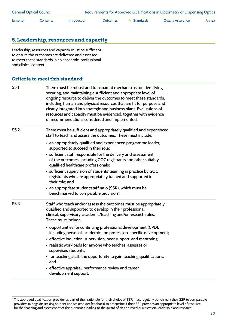#### **5. Leadership, resources and capacity**

Leadership, resources and capacity must be sufficient to ensure the outcomes are delivered and assessed to meet these standards in an academic, professional and clinical context.

| S5.1 | There must be robust and transparent mechanisms for identifying,<br>securing, and maintaining a sufficient and appropriate level of<br>ongoing resource to deliver the outcomes to meet these standards,<br>including human and physical resources that are fit for purpose and<br>clearly integrated into strategic and business plans. Evaluations of<br>resources and capacity must be evidenced, together with evidence<br>of recommendations considered and implemented.                                                                                                                                                                                                                     |
|------|---------------------------------------------------------------------------------------------------------------------------------------------------------------------------------------------------------------------------------------------------------------------------------------------------------------------------------------------------------------------------------------------------------------------------------------------------------------------------------------------------------------------------------------------------------------------------------------------------------------------------------------------------------------------------------------------------|
| S5.2 | There must be sufficient and appropriately qualified and experienced<br>staff to teach and assess the outcomes. These must include:<br>• an appropriately qualified and experienced programme leader,<br>supported to succeed in their role;<br>• sufficient staff responsible for the delivery and assessment<br>of the outcomes, including GOC registrants and other suitably<br>qualified healthcare professionals;<br>· sufficient supervision of students' learning in practice by GOC<br>registrants who are appropriately trained and supported in<br>their role; and<br>• an appropriate student: staff ratio (SSR), which must be<br>benchmarked to comparable provision <sup>11</sup> . |
| S5.3 | Staff who teach and/or assess the outcomes must be appropriately<br>qualified and supported to develop in their professional,<br>clinical, supervisory, academic/teaching and/or research roles.<br>These must include:<br>• opportunities for continuing professional development (CPD),<br>including personal, academic and profession-specific development;<br>• effective induction, supervision, peer support, and mentoring;<br>• realistic workloads for anyone who teaches, assesses or<br>supervises students;<br>• for teaching staff, the opportunity to gain teaching qualifications;<br>and<br>• effective appraisal, performance review and career<br>development support.          |

<sup>&</sup>lt;sup>11</sup> The approved qualification provider as part of their rationale for their choice of SSR must regularly benchmark their SSR to comparable providers (alongside seeking student and stakeholder feedback) to determine if their SSR provides an appropriate level of resource for the teaching and assessment of the outcomes leading to the award of an approved qualification, leadership and research.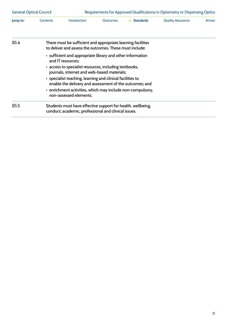| <b>General Optical Council</b> |                                                                                                                                                                                                                                                                                                                                                                                                           | Requirements for Approved Qualifications in Optometry or Dispensing Optics                                              |                 |                  |                          |       |  |  |
|--------------------------------|-----------------------------------------------------------------------------------------------------------------------------------------------------------------------------------------------------------------------------------------------------------------------------------------------------------------------------------------------------------------------------------------------------------|-------------------------------------------------------------------------------------------------------------------------|-----------------|------------------|--------------------------|-------|--|--|
| Jump to:                       | Contents                                                                                                                                                                                                                                                                                                                                                                                                  | Introduction                                                                                                            | <b>Outcomes</b> | <b>Standards</b> | <b>Quality Assurance</b> | Annex |  |  |
| S <sub>5.4</sub>               |                                                                                                                                                                                                                                                                                                                                                                                                           | There must be sufficient and appropriate learning facilities<br>to deliver and assess the outcomes. These must include: |                 |                  |                          |       |  |  |
|                                | • sufficient and appropriate library and other information<br>and IT resources:<br>• access to specialist resources, including textbooks,<br>journals, internet and web-based materials;<br>• specialist teaching, learning and clinical facilities to<br>enable the delivery and assessment of the outcomes; and<br>• enrichment activities, which may include non-compulsory,<br>non-assessed elements. |                                                                                                                         |                 |                  |                          |       |  |  |
| S <sub>5.5</sub>               |                                                                                                                                                                                                                                                                                                                                                                                                           | Students must have effective support for health, wellbeing,<br>conduct, academic, professional and clinical issues.     |                 |                  |                          |       |  |  |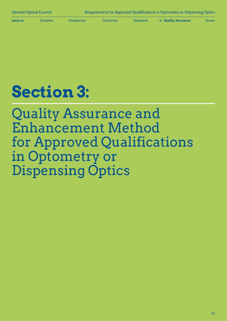<span id="page-33-0"></span>

**Jump to:** [Contents](#page-1-0) Introduction [Outcomes](#page-7-0) [Standards](#page-22-0) **A** Quality Assurance [Annex](#page-42-0)

# **Section 3:**

Quality Assurance and Enhancement Method for Approved Qualifications in Optometry or Dispensing Optics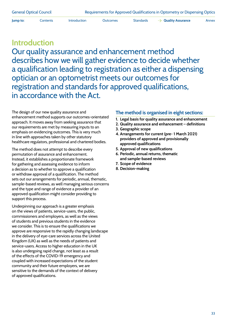**Jump to:** [Contents](#page-1-0) [Introduction](#page-4-0) [Outcomes](#page-7-0) [Standards](#page-22-0) **Aguality Assurance** [Annex](#page-42-0)

### **Introduction**

Our quality assurance and enhancement method describes how we will gather evidence to decide whether a qualification leading to registration as either a dispensing optician or an optometrist meets our outcomes for registration and standards for approved qualifications, in accordance with the Act.

The design of our new quality assurance and enhancement method supports our outcomes-orientated approach. It moves away from seeking assurance that our requirements are met by measuring inputs to an emphasis on evidencing outcomes. This is very much in line with approaches taken by other statutory healthcare regulators, professional and chartered bodies.

The method does not attempt to describe every permutation of assurance and enhancement. Instead, it establishes a proportionate framework for gathering and assessing evidence to inform a decision as to whether to approve a qualification or withdraw approval of a qualification. The method sets out our arrangements for periodic, annual, thematic, sample-based reviews, as well managing serious concerns and the type and range of evidence a provider of an approved qualification might consider providing to support this process.

Underpinning our approach is a greater emphasis on the views of patients, service-users, the public, commissioners and employers, as well as the views of students and previous students in the evidence we consider. This is to ensure the qualifications we approve are responsive to the rapidly changing landscape in the delivery of eye-care services across the United Kingdom (UK) as well as the needs of patients and service-users. Access to higher education in the UK is also undergoing rapid change, not least as a result of the effects of the COVID-19 emergency and coupled with increased expectations of the student community and their future employers, we are sensitive to the demands of the context of delivery of approved qualifications.

#### **The method is organised in eight sections:**

- **1. Legal basis for quality assurance and enhancement**
- **2. Quality assurance and enhancement definitions**
- **3. Geographic scope**
- **4. Arrangements for current (pre- 1 March 2021) providers of approved and provisionally approved qualifications**
- **5. Approval of new qualifications**
- **6. Periodic, annual returns, thematic and sample-based reviews**
- **7. Scope of evidence**
- **8. Decision-making**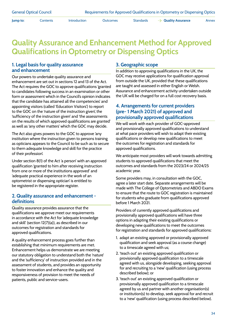**Jump to:** [Contents](#page-1-0) [Introduction](#page-4-0) [Outcomes](#page-7-0) [Standards](#page-22-0) **Aguality Assurance** [Annex](#page-42-0)

### **Quality Assurance and Enhancement Method for Approved Qualifications in Optometry or Dispensing Optics**

#### **1. Legal basis for quality assurance and enhancement**

Our powers to undertake quality assurance and enhancement are set out in sections 12 and 13 of the Act. The Act requires the GOC to approve qualifications 'granted to candidates following success in an examination or other form or assessment which in the Council's opinion indicates that the candidate has attained all the competencies' and appointing visitors (called 'Education Visitors') to report to the GOC on the 'nature of the instruction given', the 'sufficiency of the instruction given' and 'the assessments on the results of which approved qualifications are granted' as well as 'any other matters' which the GOC may decide.

The Act also gives powers to the GOC to approve 'any institution where the instruction given to persons training as opticians appears to the Council to be such as to secure to them adequate knowledge and skill for the practice of their profession'.

Under section 8(1) of the Act 'a person' with an approved qualification 'granted to him after receiving instruction from one or more of the institutions approved' and 'adequate practical experience in the work of an optometrist or dispensing optician' is entitled to be registered in the appropriate register.

#### **2. Quality assurance and enhancement definitions**

Quality assurance provides assurance that the qualifications we approve meet our requirements in accordance with the Act for 'adequate knowledge and skill' (section 12(7)(a)), as described in our outcomes for registration and standards for approved qualifications.

A quality enhancement process goes further than establishing that minimum requirements are met. Enhancement helps us demonstrate we are meeting our statutory obligation to understand both the 'nature' and the 'sufficiency' of instruction provided and in the assessment of students, and provides an opportunity to foster innovation and enhance the quality and responsiveness of provision to meet the needs of patients, public and service-users.

#### **3. Geographic scope**

In addition to approving qualifications in the UK, the GOC may receive applications for qualification approval from outside the UK, provided that these qualifications are taught and assessed in either English or Welsh. Assurance and enhancement activity undertaken outside the UK will be charged for on a full cost recovery basis.

#### **4. Arrangements for current providers (pre- 1 March 2021) of approved and provisionally approved qualifications**

We will work with each provider of GOC-approved and provisionally approved qualifications to understand at what pace providers will wish to adapt their existing qualifications or develop new qualifications to meet the outcomes for registration and standards for approved qualifications.

We anticipate most providers will work towards admitting students to approved qualifications that meet the outcomes and standards from the 2023/24 or 2024/25 academic year.

Some providers may, in consultation with the GOC, agree a later start date. Separate arrangements will be made with The College of Optometrists and ABDO Exams to ensure that the route to GOC registration is maintained for students who graduate from qualifications approved before 1 March 2021.

Providers of currently approved qualifications and provisionally approved qualifications will have three options in adapting their existing qualifications or developing new qualifications to meet the outcomes for registration and standards for approved qualifications:

- 1. adapt an existing approved or provisionally approved qualification and seek approval (as a course change) to a timescale agreed with us;
- 2. 'teach out' an existing approved qualification or provisionally approved qualification to a timescale agreed with us, alongside developing, seeking approval for and recruiting to a 'new' qualification (using process described below); or
- 3. 'teach out' an existing approved qualification or provisionally approved qualification to a timescale agreed by us and partner with another organisation(s) or institution(s) to develop, seek approval for and recruit to a 'new' qualification (using process described below).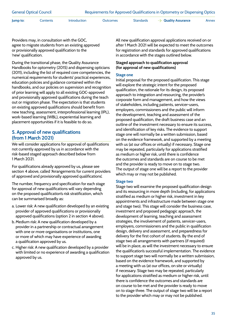General Optical Council Requirements for Approved Qualifications in Optometry or Dispensing Optics

**Jump to:** [Contents](#page-1-0) [Introduction](#page-4-0) [Outcomes](#page-7-0) [Standards](#page-22-0) **Aguality Assurance** [Annex](#page-42-0)

Providers may, in consultation with the GOC, agree to migrate students from an existing approved or provisionally approved qualification to the 'new' qualification.

During the transitional phase, the Quality Assurance Handbooks for optometry (2015) and dispensing opticians (2011), including the list of required core competencies, the numerical requirements for students' practical experiences, education policies and guidance contained within the handbooks, and our policies on supervision and recognition of prior learning will apply to all existing GOC-approved and provisionally approved qualifications during the teach out or migration phase. The expectation is that students on existing approved qualifications should benefit from new teaching, assessment, interprofessional learning (IPL), work-based learning (WBL), experiential learning and placement opportunities if it is feasible to do so.

#### **5. Approval of new qualifications (from 1 March 2021)**

We will consider applications for approval of qualifications not currently approved by us in accordance with the risk-based staged approach described below from 1 March 2021.

For qualifications already approved by us, please see section 4 above, called 'Arrangements for current providers of approved and provisionally approved qualifications'.

The number, frequency and specification for each stage for approval of new qualifications will vary depending on the proposed qualification's risk stratification, which can be summarised broadly as:

- a. Lower risk: A new qualification developed by an existing provider of approved qualifications or provisionally approved qualifications (option 2 in section 4 above).
- b. Medium risk: A new qualification developed by a provider in a partnership or contractual arrangement with one or more organisations or institutions, one or more of which may have experience of awarding a qualification approved by us.
- c. Higher risk: A new qualification developed by a provider with limited or no experience of awarding a qualification approved by us.

All new qualification approval applications received on or after 1 March 2021 will be expected to meet the outcomes for registration and standards for approved qualifications in accordance with the stages outlined below.

#### **Staged approach to qualification approval (for approval of new qualifications)**

#### **Stage one**

Initial proposal for the proposed qualification. This stage will explore the strategic intent for the proposed qualification, the rationale for its design, its proposed approach to integration and resourcing, the provider's corporate form and management, and how the views of stakeholders, including patients, servicer-users, employers, commissioners and the public will inform the development, teaching and assessment of the proposed qualification, the draft business case and an outline of the investment necessary to ensure its success, and identification of key risks. The evidence to support stage one will normally be a written submission, based on the evidence framework, and supported by a meeting with us (at our offices or virtually) if necessary. Stage one may be repeated, particularly for applications stratified as medium or higher risk, until there is confidence the outcomes and standards are on course to be met and the provider is ready to move on to stage two. The output of stage one will be a report to the provider which may or may not be published.

#### **Stage two**

Stage two will examine the proposed qualification design and its resourcing in more depth (including, for applications stratified as medium or higher risk, investment in key appointments and infrastructure made between stage one and stage two). This stage will consider the business case, investment and proposed pedagogic approach, the development of learning, teaching and assessment strategies, the involvement of patients, servicer-users, employers, commissioners and the public in qualification design, delivery and assessment, and preparedness for delivery for the first cohort of students. By the end of stage two all arrangements with partners (if required) will be in place, as will the investment necessary to ensure the qualification's successful implementation. The evidence to support stage two will normally be a written submission, based on the evidence framework, and supported by a meeting with us (at our offices, on site or virtually) if necessary. Stage two may be repeated, particularly for applications stratified as medium or higher risk, until there is confidence the outcomes and standards are on course to be met and the provider is ready to move on to stage three. The output of stage two will be a report to the provider which may or may not be published.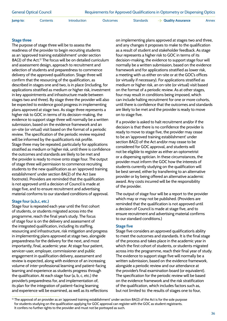**Jump to:** [Contents](#page-1-0) [Introduction](#page-4-0) [Outcomes](#page-7-0) [Standards](#page-22-0) **Aguality Assurance** [Annex](#page-42-0)

#### **Stage three**

The purpose of stage three will be to assess the readiness of the provider to begin recruiting students as an 'approved training establishment' under section 8A(2) of the Act.<sup>12</sup> The focus will be on detailed curriculum and assessment design, approach to recruitment and selection of students and preparedness to commence delivery of the approved qualification. Stage three will confirm that the resourcing of the qualification, as described in stages one and two, is in place (including, for applications stratified as medium or higher risk, investment in key appointments and infrastructure made between stages two and three). By stage three the provider will also be expected to evidence good progress in implementing plans approved at stage two. As stage three represents a higher risk to GOC in terms of its decision-making, the evidence to support stage three will normally be a written submission, based on the evidence framework and an on-site (or virtual) visit based on the format of a periodic review. The specification of the periodic review required will be informed by the qualification's risk profile. Stage three may be repeated, particularly for applications stratified as medium or higher risk, until there is confidence the outcomes and standards are likely to be met and the provider is ready to move onto stage four. The output of stage three will permission to commence recruiting students to the new qualification as an 'approved training establishment' under section 8A(2) of the Act (see footnote). Providers are reminded that the qualification is not approved until a decision of Council is made at stage five, and to ensure recruitment and advertising material conforms to our standard conditions of approval.

#### **Stage four (a,b,c, etc.)**

Stage four is repeated each year until the first cohort of students, or students migrated across into the programme, reach the final year's study. The focus of stage four is on the delivery and assessment of the integrated qualification, including its staffing, resourcing and infrastructure, risk mitigation and progress in implementing plans approved at stage two, alongside preparedness for the delivery for the next, and most importantly, final, academic year. At stage four patient, servicer-user, employer, commissioner and public engagement in qualification delivery, assessment and review is expected, along with evidence of an increasing volume of inter-professional learning and patient-facing learning and experience as students progress through the qualification. At each stage four (a, b, c, etc.) the provider's preparedness for, and implementation of, its plan for the integration of patient-facing learning and experience will be examined, as well as its reflections on implementing plans approved at stages two and three, and any changes it proposes to make to the qualification as a result of student and stakeholder feedback. As stage four represents a higher risk to GOC in terms of its decision-making, the evidence to support stage four will normally be a written submission, based on the evidence framework and for applications stratified as lower risk, a meeting with us either on-site or at the GOC's offices (or virtually if necessary). For applications stratified as medium or higher risk, an on-site (or virtual) visit based on the format of a periodic review. As at other stages, four may result in conditions being imposed, which can include halting recruitment for one or more cohorts, until there is confidence that the outcomes and standards are likely to be met and the provider is ready to move on to stage five.

If a provider is asked to halt recruitment and/or if the decision is that there is no confidence the provider is ready to move to stage five, the provider may cease to be an 'approved training establishment' under section 8A(2) of the Act and/or may cease to be considered for GOC approval, and students will not be eligible to register as either an optometrist or a dispensing optician. In these circumstances, the provider must inform the GOC how the interests of students currently studying on the qualification will be best served, either by transferring to an alternative provider or by being offered an alternative academic award. Any costs incurred will be the responsibility of the provider.

The output of stage four will be a report to the provider which may or may not be published. (Providers are reminded that the qualification is not approved until a decision of Council is made at stage five, and to ensure recruitment and advertising material confirms to our standard conditions.)

#### **Stage five**

Stage five considers an approved qualification's ability to meet the outcomes and standards. It is the final stage of the process and takes place in the academic year in which the first cohort of students, or students migrated across into the programme, reach their final year of study. The evidence to support stage five will normally be a written submission, based on the evidence framework, alongside a periodic review and our attendance at the provider's final examination board (or equivalent). The specification for the periodic review will be based on the evidence framework and the risk stratification of the qualification, which includes factors such as, but not limited to: the results of stages one to four,

 $12$  The approval of an provider as an 'approved training establishment' under section 8A(2) of the Act is for the sole purpose for students studying on the qualification applying for GOC approval can register with the GOC as student registrants. It confers no further rights to the provider and must not be portrayed as such.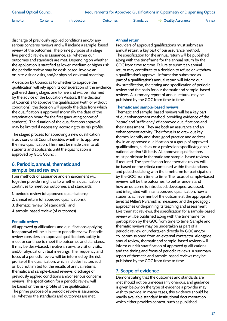**Jump to:** [Contents](#page-1-0) [Introduction](#page-4-0) [Outcomes](#page-7-0) [Standards](#page-22-0) **[Annex](#page-42-0) [Quality Assurance](#page-33-0)** Annex

discharge of previously applied conditions and/or any serious concerns reviews and will include a sample-based review of the outcomes. The prime purpose of a stage five periodic review is assurance, i.e., whether our outcomes and standards are met. Depending on whether the application is stratified as lower, medium or higher risk, the periodic review may be desk-based, involve an on-site visit or visits, and/or physical or virtual meetings.

A decision by Council as to whether to approve the qualification will rely upon its consideration of the evidence gathered during stages one to five and will be informed by the advice of the Education Visitors. If the decision of Council is to approve the qualification (with or without conditions), the decision will specify the date from which the qualification is approved (normally the date of the examination board for the first graduating cohort of students). The duration of the qualification's approval may be limited if necessary, according to its risk profile.

The staged process for approving a new qualification is advisory until Council decides whether to approve the new qualification. This must be made clear to all students and applicants until the qualification is approved by GOC Council.

#### **6. Periodic, annual, thematic and sample-based reviews**

Four methods of assurance and enhancement will together provide insight as to whether a qualification continues to meet our outcomes and standards:

- 1. periodic review (of approved qualifications);
- 2. annual return (of approved qualifications);
- 3. thematic review (of standards); and
- 4. sample-based review (of outcomes).

#### **Periodic review**

All approved qualifications and qualifications applying for approval will be subject to periodic review. Periodic review considers an approved qualification's ability to meet or continue to meet the outcomes and standards. It may be desk-based, involve an on-site visit or visits, and/or physical or virtual meetings. The frequency and focus of a periodic review will be informed by the risk profile of the qualification, which includes factors such as, but not limited to, the results of annual returns, thematic and sample-based reviews, discharge of previously applied conditions and/or serious concerns reviews. The specification for a periodic review will be based on the risk profile of the qualification. The prime purpose of a periodic review is assurance, i.e., whether the standards and outcomes are met.

#### **Annual return**

Providers of approved qualifications must submit an annual return, a key part of our assurance method. The specification for the annual return will be published along with the timeframe for the annual return by the GOC from time to time. Failure to submit an annual return may contribute to a decision to refuse or withdraw a qualification's approval. Information submitted as part of a qualification's annual return will inform our risk stratification, the timing and specification of periodic review and the basis for our thematic and sample-based reviews. A summary report of annual returns may be published by the GOC from time to time.

#### **Thematic and sample-based reviews**

Thematic and sample-based reviews will be a key part of our enhancement method, providing evidence of the 'nature' and 'sufficiency' of approved qualifications and their assessment. They are both an assurance and an enhancement activity. Their focus is to draw out key themes, identify and share good practice and address risk in an approved qualification or a group of approved qualifications, such as on a profession-specific/regional/ national and/or UK basis. All approved qualifications must participate in thematic and sample-based reviews if required. The specification for a thematic review will be based on the criteria contained within the standards and published along with the timeframe for participation by the GOC from time to time. The focus of sample-based reviews will be the outcomes; to better understand how an outcome is introduced, developed, assessed, and integrated within an approved qualification, how a student's achievement of the outcome at the appropriate level (at Miller's Pyramid) is measured and the pedagogic approaches underpinning its teaching and assessment. Like thematic reviews, the specification for a sample-based review will be published along with the timeframe for participation by the GOC from time to time. Sample and thematic reviews may be undertaken as part of a periodic review or undertaken directly by GOC and/or co-commissioned from an external contractor. Alongside annual review, thematic and sample-based reviews will inform our risk stratification of approved qualifications and the timing and focus of periodic reviews. A summary report of thematic and sample-based reviews may be published by the GOC from time to time.

#### **7. Scope of evidence**

Demonstrating that the outcomes and standards are met should not be unnecessarily onerous, and guidance is given below on the type of evidence a provider may wish to provide. In many cases, this evidence should be readily available standard institutional documentation which either provides context, such as published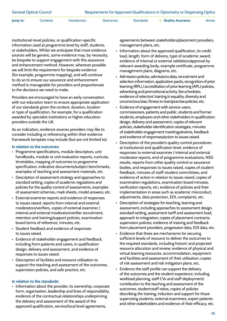| <b>General Optical Council</b> | Requirements for Approved Qualifications in Optometry or Dispensing Optics |
|--------------------------------|----------------------------------------------------------------------------|
|--------------------------------|----------------------------------------------------------------------------|

**Jump to:** [Contents](#page-1-0) [Introduction](#page-4-0) [Outcomes](#page-7-0) [Standards](#page-22-0)  $\rightarrow$  **[Quality Assurance](#page-33-0)** [Annex](#page-42-0)

institutional-level policies, or qualification-specific information used at programme level by staff, students, or stakeholders. Whilst we anticipate that most evidence sources will be generic, some evidence may, by necessity, be bespoke to support engagement with this assurance and enhancement method. However, wherever possible we will limit the requirement for bespoke evidence (for example, programme mapping), and will continue to do so to ensure our assurance and enhancement method is manageable for providers and proportionate to the decisions we need to make.

Providers are encouraged to have an early conversation with our education team to ensure appropriate application of our standards given the context, duration, location or type of qualification, for example, for a qualification awarded by specialist institutions or higher education providers outside the UK.

As an indication, evidence sources providers may like to consider including or referencing within their evidence framework template may include (but are not limited to):

#### **In relation to the outcomes:**

- Programme specifications, module descriptors, unit handbooks, module or unit evaluation reports, curricula, timetables, mapping of outcomes to programme specification, indicative documents/subject benchmarks, examples of teaching and assessment materials, etc.
- Description of assessment strategy and approaches to standard setting, copies of academic regulations and policies for the quality control of assessments, examples of assessment schemes, mark sheets, model answers, etc.
- External examiner reports and evidence of responses to issues raised, reports from internal and external moderators/verifiers, copies of external examiner / internal and external moderator/verifier recruitment, retention and training/support policies, examination board terms of reference, minutes, etc.
- Student feedback and evidence of responses to issues raised.
- Evidence of stakeholder engagement and feedback, including from patients and carers, in qualification design, delivery and assessment, and evidence of responses to issues raised.
- Description of facilities and resource utilisation to support the teaching and assessment of the outcomes, supervision policies, and safe practice, etc.

#### **In relation to the standards:**

• Information about the provider, its ownership, corporate form, organisation, leadership and lines of responsibility, evidence of the contractual relationships underpinning the delivery and assessment of the award of the approved qualification, service/local level agreements,

agreements between stakeholders/placement providers, management plans, etc.

- Information about the approved qualification, its credit load, length, form of delivery, type of academic award; evidence of internal or external validation/approval by relevant awarding body, example certificate, programme management plans, diagrams, etc.
- Admission policies, admissions data, recruitment and selection information, application packs, recognition of prior learning (RPL) / accreditation of prior learning (APL) policies, advertising and promotional activity, fee schedules, evidence of selectors' training in equality, diversity and unconscious bias, fitness to train/practise policies, etc.
- Evidence of engagement with service-users, commissioners, patients and public, students and former students, employers and other stakeholders in qualification design, delivery and assessment, copies of relevant policies, stakeholder identification strategies, minutes of stakeholder engagement meetings/events, feedback and evidence of responses/action to issues raised.
- Description of the provider's quality control procedures at institutional and qualification level, evidence of responses to external examiner / internal and external moderator reports, end of programme evaluations, NSS results, reports from other quality control or assurance bodies, and responses to issues raised, copies of student feedback, minutes of staff-student committees, and evidence of action in relation to issues raised, copies of examination regulations, examination board minutes, verification reports, etc; evidence of policies and their implementation in areas such as academic misconduct, adjustments, data protection, EDI, complaints, etc.
- Description of strategies for teaching, learning and assessment, including approaches to assessment design, standard setting, assessment tariff and assessment load, approach to integration; copies of placement contracts; supervision policies, evidence of training and feedback from placement providers, progression data, EDI data, etc.
- Evidence that there are mechanisms for securing sufficient levels of resource to deliver the outcomes to the required standards, including historic and projected resource allocation and review; evidence of physical and virtual learning resources, accommodation, equipment and facilities and assessment of their utilisation; copies of risk assessment and risk mitigation plans, etc.
- Evidence the staff profile can support the delivery of the outcomes and the student experience, including workload planning, staff CVs and staff deployment/ contribution to the teaching and assessment of the outcomes, student:staff ratios, copies of policies describing the training, induction and support for those supervising students, external examiners, expert patients and other stakeholders and evidence of their efficacy, etc.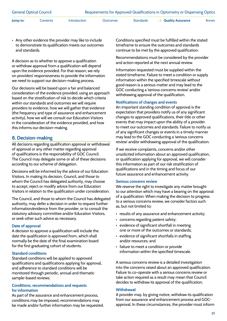**Jump to:** [Contents](#page-1-0) [Introduction](#page-4-0) [Outcomes](#page-7-0) [Standards](#page-22-0) **Aguality Assurance** [Annex](#page-42-0)

• Any other evidence the provider may like to include to demonstrate its qualification meets our outcomes and standards.

A decision as to whether to approve a qualification or withdraw approval from a qualification will depend upon the evidence provided. For that reason, we rely on providers' responsiveness to provide the information we need to support our decision-making process.

Our decisions will be based upon a fair and balanced consideration of the evidence provided, using an approach based on the stratification of risk to decide which criteria within our standards and outcomes we will require providers to evidence, how we will gather that evidence (the frequency and type of assurance and enhancement activity), how we will we consult our Education Visitors in the consideration of the evidence provided, and how this informs our decision-making.

#### **8. Decision-making**

All decisions regarding qualification approval or withdrawal of approval or any other matter regarding approval of qualifications is the responsibility of GOC Council. The Council may delegate some or all of these decisions according to our scheme of delegation.

Decisions will be informed by the advice of our Education Visitors. In making its decision, Council, and those to whom the Council has delegated authority, may choose to accept, reject or modify advice from our Education Visitors in relation to the qualification under consideration.

The Council, and those to whom the Council has delegated authority, may defer a decision in order to request further information/evidence from the provider, or to consult the statutory advisory committee and/or Education Visitors, or seek other such advice as necessary.

#### **Date of approval**

A decision to approve a qualification will include the date the qualification is approved from, which shall normally be the date of the final examination board for the first graduating cohort of students.

#### **Standard conditions**

Standard conditions will be applied to approved qualifications and qualifications applying for approval, and adherence to standard conditions will be monitored through periodic, annual and thematic sample-based reviews.

#### **Conditions, recommendations and requests for information**

As part of the assurance and enhancement process, conditions may be imposed, recommendations may be made and/or further information may be requested. Conditions specified must be fulfilled within the stated timeframe to ensure the outcomes and standards continue to be met by the approved qualification.

Recommendations must be considered by the provider and action reported at the next annual review.

Information requested must be supplied within the stated timeframe. Failure to meet a condition or supply information within the specified timescale without good reason is a serious matter and may lead to the GOC conducting a 'serious concerns review' and/or withdrawing approval of the qualification.

#### **Notifications of changes and events**

An important standing condition of approval is the expectation that providers notify us of any significant changes to approved qualifications, their title or other events that may impact upon the ability of a provider to meet our outcomes and standards. Failure to notify us of any significant changes or events in a timely manner may lead to the GOC conducting a 'serious concerns review' and/or withdrawing approval of the qualification.

If we receive complaints, concerns and/or other unsolicited information about an approved qualification, or qualification applying for approval, we will consider this information as part of our risk stratification of qualifications and in the timing and focus of our future assurance and enhancement activity.

#### **Serious concerns review**

We reserve the right to investigate any matter brought to our attention which may have a bearing on the approval of a qualification. When making the decision to progress to a serious concerns review, we consider factors such as, but not limited to:

- results of any assurance and enhancement activity;
- concerns regarding patient safety;
- evidence of significant shortfall in meeting one or more of the outcomes or standards;
- evidence of significant shortfalls in staffing and/or resources; and
- failure to meet a condition or provide information within the specified timescale.

A serious concerns review is a detailed investigation into the concerns raised about an approved qualification. Failure to co-operate with a serious concerns review or take action required as a result may mean that Council decides to withdraw its approval of the qualification.

#### **Withdrawal**

A provider may, by giving notice, withdraw its qualification from our assurance and enhancement process and GOCapproval. In these circumstances, the provider must inform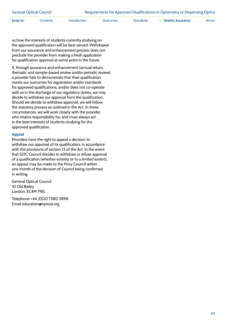| <b>General Optical Council</b> | Requirements for Approved Qualifications in Optometry or Dispensing Optics |
|--------------------------------|----------------------------------------------------------------------------|
|                                |                                                                            |

**Jump to:** [Contents](#page-1-0) [Introduction](#page-4-0) [Outcomes](#page-7-0) [Standards](#page-22-0) **Aguality Assurance** [Annex](#page-42-0)

us how the interests of students currently studying on the approved qualification will be best served. Withdrawal from our assurance and enhancement process does not preclude the provider from making a fresh application for qualification approval at some point in the future.

If, through assurance and enhancement (annual return, thematic and sample-based review and/or periodic review) a provider fails to demonstrate that their qualification meets our outcomes for registration and/or standards for approved qualifications, and/or does not co-operate with us in the discharge of our regulatory duties, we may decide to withdraw our approval from the qualification. Should we decide to withdraw approval, we will follow the statutory process as outlined in the Act. In these circumstances, we will work closely with the provider, who retains responsibility for, and must always act in the best interests of students studying for the approved qualification.

#### **Appeal**

Providers have the right to appeal a decision to withdraw our approval of its qualification, in accordance with the provisions of section 13 of the Act. In the event that GOC Council decides to withdraw or refuse approval of a qualification (whether entirely or to a limited extent), an appeal may be made to the Privy Council within one month of the decision of Council being confirmed in writing.

General Optical Council 10 Old Bailey London, EC4M 7NG

Telephone +44 (0)20 7580 3898 Email education@optical.org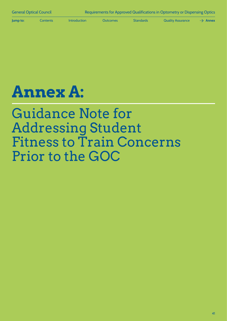<span id="page-42-0"></span>

# **Annex A:**

## Guidance Note for Addressing Student Fitness to Train Concerns Prior to the GOC

41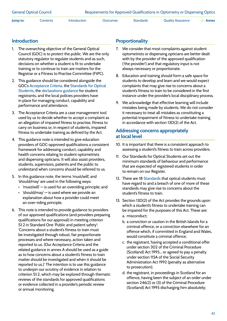#### **Introduction**

- 1. The overarching objective of the General Optical Council (GOC) is to protect the public. We are the only statutory regulator to regulate students and as such, decisions on whether a student is fit to undertake training or to continue to train are matters for the Registrar or a Fitness to Practise Committee (FtPC).
- 2. This guidance should be considered alongside the GOC's [Acceptance Criteria,](https://www.optical.org/en/Investigating_complaints/fitness-to-practise-guidance/index.cfm) the [Standards for Optical](https://standards.optical.org/the-standards/standards-for-optical-students/)  [Students](https://standards.optical.org/the-standards/standards-for-optical-students/), the [declarations guidance](https://www.optical.org/en/Registration/Making_declarations/index.cfm) for student registrants, and the local policies providers have in place for managing conduct, capability and performance and attendance.
- 3. The Acceptance Criteria are a case management tool used by us to decide whether to accept a complaint as an allegation of impaired fitness to practise, fitness to carry on business or, in respect of students, impaired fitness to undertake training as defined by the Act.
- 4. This guidance note is intended to give education providers of GOC-approved qualifications a consistent framework for addressing conduct, capability and health concerns relating to student optometrists and dispensing opticians. It will also assist providers, students, supervisors, patients and the public to understand when concerns should be referred to us.
- 5. In this guidance note, the terms 'must/will', and 'should/may' are used in the following ways:
	- 'must/will' is used for an overriding principle; and
	- 'should/may' is used where we provide an explanation about how a provider could meet an over-riding principle.
- 6. This note is intended to provide guidance to providers of our approved qualifications (and providers preparing qualifications for our approval) in meeting criterion S1.2 in Standard One 'Public and patient safety': 'Concerns about a student's fitness to train must be investigated through robust, fair proportionate processes and where necessary, action taken and reported to us. (Our Acceptance Criteria and the related guidance in annex A should be used as a guide as to how concerns about a student's fitness to train matter should be investigated and when it should be reported to us.)' The intention is to use this guidance to underpin our scrutiny of evidence in relation to criterion S1.2, which may be explored through thematic reviews of the standards for approved qualifications or evidence collected in a provider's periodic review or annual monitoring.

#### **Proportionality**

- 7. We consider that most complaints against student optometrists or dispensing opticians are better dealt with by the provider of the approved qualification ('the provider') and that regulatory input is not always necessary or proportionate.
- 8. Education and training should form a safe space for students to develop and learn and we would expect complaints that may give rise to concerns about a student's fitness to train to be considered in the first instance under the provider's local disciplinary process.
- 9. We acknowledge that effective learning will include mistakes being made by students. We do not consider it necessary to treat all mistakes as constituting a potential impairment of fitness to undertake training in accordance with section 13D(2) of the Act.

#### **Addressing concerns appropriately at local level**

- 10. It is important that there is a consistent approach to assessing a student's fitness to train across providers.
- 11. Our Standards for Optical Students set out the minimum standards of behaviour and performance that are expected of registered students in order to remain on our Register.
- 12. There are 18 [Standards](https://standards.optical.org/areas/students/) that optical students must have regard to and a breach of one of more of these standards may give rise to concerns about the student's fitness to train.
- 13. Section 13D(2) of the Act provides the grounds upon which a student's fitness to undertake training can be impaired for the purposes of this Act. These are: a. misconduct;
	- b. a conviction or caution in the British Islands for a criminal offence, or a conviction elsewhere for an offence which, if committed in England and Wales, would constitute a criminal offence;
	- c. the registrant, having accepted a conditional offer under section 302 of the Criminal Procedure (Scotland) Act 1995… or agreed to pay a penalty under section 115A of the Social Security Administration Act 1992 (penalty as alternative to prosecution);
	- d. the registrant, in proceedings in Scotland for an offence, having been the subject of an order under section 246(2) or (3) of the Criminal Procedure (Scotland) Act 1995 discharging him absolutely;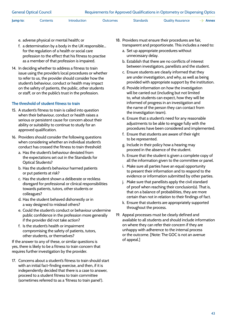- e. adverse physical or mental health; or
- f. a determination by a body in the UK responsible… for the regulation of a health or social care profession to the effect that his fitness to practise as a member of that profession is impaired.
- 14. In deciding whether to address a fitness to train issue using the provider's local procedures or whether to refer to us, the provider should consider how the student's behaviour, conduct or health may impact on the safety of patients, the public, other students or staff, or on the public's trust in the profession.

#### **The threshold of student fitness to train**

- 15. A student's fitness to train is called into question when their behaviour, conduct or health raises a serious or persistent cause for concern about their ability or suitability to continue to study for an approved qualification.
- 16. Providers should consider the following questions when considering whether an individual student's conduct has crossed the fitness to train threshold:
	- a. Has the student's behaviour deviated from the expectations set out in the Standards for Optical Students?
	- b. Has the student's behaviour harmed patients or put patients at risk?
	- c. Has the student shown a deliberate or reckless disregard for professional or clinical responsibilities towards patients, tutors, other students or colleagues?
	- d. Has the student behaved dishonestly or in a way designed to mislead others?
	- e. Could the student's conduct or behaviour undermine public confidence in the profession more generally if the provider did not take action?
	- f. Is the student's health or impairment compromising the safety of patients, tutors, other students, or themselves?

If the answer to any of these, or similar questions is yes, there is likely to be a fitness to train concern that requires further investigation by the provider.

17. Concerns about a student's fitness to train should start with an initial fact-finding exercise, and then, if it is independently decided that there is a case to answer, proceed to a student fitness to train committee (sometimes referred to as a 'fitness to train panel').

- 18. Providers must ensure their procedures are fair, transparent and proportionate. This includes a need to:
	- a. Set up appropriate procedures without unnecessary delay.
	- b. Establish that there are no conflicts of interest between investigators, panellists and the student.
	- c. Ensure students are clearly informed that they are under investigation, and why, as well as being provided with appropriate support by the institution.
	- d. Provide information on how the investigation will be carried out (including but not limited to, what students can expect, how they will be informed of progress in an investigation and the name of the person they can contact from the investigation team).
	- e. Ensure that a student's need for any reasonable adjustments to be able to engage fully with the procedures have been considered and implemented.
	- f. Ensure that students are aware of their right to be represented.
	- g. Include in their policy how a hearing may proceed in the absence of the student.
	- h. Ensure that the student is given a complete copy of all the information given to the committee or panel.
	- i. Make sure all parties have an equal opportunity to present their information and to respond to the evidence or information submitted by other parties.
	- j. Make sure that panellists apply the civil standard of proof when reaching their conclusion(s). That is, that on a balance of probabilities, they are more certain than not in relation to their findings of fact.
	- k. Ensure that students are appropriately supported throughout the process.
- 19. Appeal processes must be clearly defined and available to all students and should include information on where they can refer their concern if they are unhappy with adherence to the internal process or the outcome. [Note: The GOC is not an avenue of appeal.]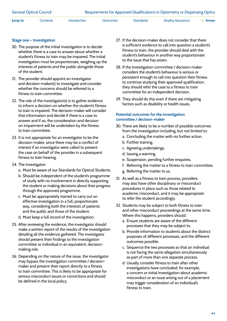#### **Stage one – Investigation**

- 20. The purpose of the initial investigation is to decide whether there is a case to answer about whether a student's fitness to train may be impaired. The initial investigation must be proportionate, weighing up the interests of patients and the public alongside those of the student.
- 21. The provider should appoint an investigator and decision-maker(s) to investigate and consider whether the concerns should be referred to a fitness to train committee.
- 22. The role of the investigator(s) is to gather evidence to inform a decision on whether the student's fitness to train is impaired. The decision-maker will consider that information and decide if there is a case to answer and if so, the consideration and decision on impairment will be undertaken by the fitness to train committee.
- 23. It is not appropriate for an investigator to be the decision-maker, since there may be a conflict of interest if an investigator were called to present the case on behalf of the provider in a subsequent fitness to train hearing.
- 24. The investigator:
	- a. Must be aware of our Standards for Optical Students.
	- b. Should be independent of the student's programme of study with no involvement in directly supporting the student or making decisions about their progress through the approved programme.
	- c. Must be appropriately trained to carry out an effective investigation in a full, proportionate way, considering both the interests of patients and the public and those of the student.
	- d. Must keep a full record of the investigation.
- 25. After reviewing the evidence, the investigator should make a written report of the results of the investigation detailing all the evidence gathered. The investigator should present their findings to the investigation committee or individual in an equivalent, decisionmaking role.
- 26. Depending on the nature of the issue, the investigator may bypass the investigation committee / decisionmaker and present their report directly to a fitness to train committee. This is likely to be appropriate for serious misconduct issues or convictions and should be defined in the local policy.
- 27. If the decision-maker does not consider that there is sufficient evidence to call into question a student's fitness to train, the provider should deal with the student's behaviour in another way proportionate to the issue that has arisen.
- 28. If the investigation committee / decision-maker considers the student's behaviour is serious or persistent enough to call into question their fitness to continue studying their approved qualification, they should refer the case to a fitness to train committee for an independent decision.
- 29. They should do this even if there are mitigating factors such as disability or health issues.

#### **Potential outcomes for the investigation committee / decision-maker**

- 30. There are likely to be a number of possible outcomes from the investigation including, but not limited to:
	- a. Concluding the matter with no further action.
	- b. Further training.
	- c. Agreeing undertakings.
	- d. Issuing a warning.
	- e. Suspension, pending further enquiries.
	- f. Referring the matter to a fitness to train committee.
	- g. Referring the matter to us.
- 31. As well as a fitness to train process, providers may also have other disciplinary or misconduct procedures in place such as those related to academic misconduct, and it may be appropriate to refer the student accordingly.
- 32. Students may be subject to both fitness to train and other misconduct proceedings at the same time. Where this happens, providers should:
	- a. Ensure students are aware of the different processes that they may be subject to.
	- b. Provide information to students about the distinct purposes of different processes, and the different outcomes possible.
	- c. Sequence the two processes so that an individual is not facing the same allegation simultaneously as part of more than one separate process.
	- d. Usually consider fitness to train after other investigations have concluded; for example, a concern or initial investigation about academic misconduct or an issue arising out of a placement may trigger consideration of an individual's fitness to train.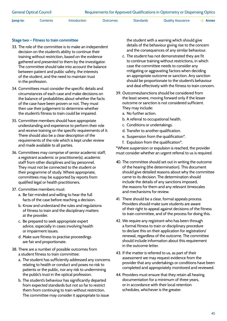#### **Stage two – Fitness to train committee**

- 33. The role of the committee is to make an independent decision on the student's ability to continue their training without restriction, based on the evidence gathered and presented to them by the investigator. The committee should take into account the balance between patient and public safety, the interests of the student, and the need to maintain trust in the profession.
- 34. Committees must consider the specific details and circumstances of each case and make decisions on the balance of probabilities about whether the facts of the case have been proven or not. They must then use their judgement to determine whether the student's fitness to train could be impaired.
- 35. Committee members should have appropriate understanding and experience to perform their role and receive training on the specific requirements of it. There should also be a clear description of the requirements of the role which is kept under review and made available to all parties.
- 36. Committees may comprise of senior academic staff, a registrant academic or practitioner(s), academic staff from other disciplines and lay personnel. They must not be connected to the student or their programme of study. Where appropriate, committees may be supported by reports from qualified legal or health practitioners.
- 37. Committee members must:
	- a. Be fair-minded and willing to hear the full facts of the case before reaching a decision.
	- b. Know and understand the rules and regulations of fitness to train and the disciplinary matters at the provider.
	- c. Be prepared to seek appropriate expert advice, especially in cases involving health or impairment issues.
	- d. Make sure fitness to practise proceedings are fair and proportionate.
- 38. There are a number of possible outcomes from a student fitness to train committee:
	- a. The student has sufficiently addressed any concerns relating to health or conduct and poses no risk to patients or the public, nor any risk to undermining the public's trust in the optical profession.
	- b. The student's behaviour has significantly departed from expected standards but not so far to restrict them from continuing to train without restriction. The committee may consider it appropriate to issue

the student with a warning which should give details of the behaviour giving rise to the concern and the consequences of any similar behaviour.

- c. The student has not demonstrated they are fit to continue training without restrictions, in which case the committee needs to consider any mitigating or aggravating factors when deciding an appropriate outcome or sanction. Any sanction should be proportionate to the student's behaviour and deal effectively with the fitness to train concern.
- 39. Outcomes/sanctions should be considered from the least severe, moving forward only if the lesser outcome or sanction is not considered sufficient. They may include:
	- a. No further action.
	- b. A referral to occupational health.
	- c. Conditions or undertakings.
	- d. Transfer to another qualification.
	- e. Suspension from the qualification\*.
	- f. Expulsion from the qualification\*.

\*Where suspension or expulsion is reached, the provider must consider whether an urgent referral to us is required.

- 40. The committee should set out in writing the outcome of the hearing (the determination). This document should give detailed reasons about why the committee came to its decision. The determination should include the details of any sanctions imposed, the reasons for them and any relevant timescales and mechanisms for review.
- 41. There should be a clear, formal appeals process. Providers should make sure students are aware of their right to appeal against decisions of the fitness to train committee, and of the process for doing this.
- 42. We require any registrant who has been through a formal fitness to train or disciplinary procedure to declare this on their application for registration/ renewal, regardless of the outcome. The committee should include information about this requirement in the outcome letter.
- 43. If the matter is referred to us, as part of their assessment we may request evidence from the provider that any undertakings or conditions have been completed and appropriately monitored and reviewed.
- 44. Providers must ensure that they retain all hearing documentation for a minimum of three years, or in accordance with their local retention schedules, whichever is the greater.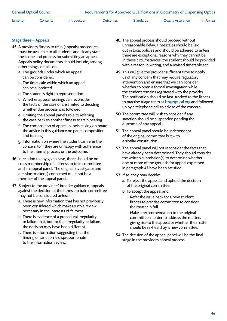#### **Stage three – Appeals**

- 45. A provider's fitness to train (appeals) procedures must be available to all students and clearly state the scope and process for submitting an appeal. Appeals policy documents should include, among other things, details on:
	- a. The grounds under which an appeal can be considered.
	- b. The timescale within which an appeal can be submitted.
	- c. The student's right to representation.
	- d. Whether appeal hearings can reconsider the facts of the case or are limited to deciding whether due process was followed.
	- e. Limiting the appeal panel's role to referring the case back to another fitness to train hearing.
	- f. The composition of appeal panels, taking on board the advice in this guidance on panel composition and training.
	- g. Information on where the student can refer their concern to if they are unhappy with adherence to the internal process or the outcome.
- 46. In relation to any given case, there should be no cross membership of a fitness to train committee and an appeal panel. The original investigator and decision-maker(s) concerned must not be a member of the appeal panel.
- 47. Subject to the providers' broader guidance, appeals against the decision of the fitness to train committee may not be considered unless:
	- a. There is new information that has not previously been considered which makes such a review necessary in the interests of fairness.
	- b. There is evidence of a procedural irregularity or failure that, but for that irregularity or failure, the decision may have been different.
	- c. There is information suggesting that the finding or sanction is disproportionate to the information review.
- 48. The appeal process should proceed without unreasonable delay. Timescales should be laid out in local policies and should be adhered to unless there are exceptional reasons why they cannot be. In these circumstances, the student should be provided with a reason in writing, and a revised timetable set.
- 49. This will give the provider sufficient time to notify us of any concern that may require regulatory intervention and ensure that we can consider whether to open a formal investigation while the student remains registered with the provider. The notification should be fast-tracked to the fitness to practise triage team at [ftp@optical.org](mailto:ftp%40optical.org?subject=) and followed up by a telephone call to advise of the concern.
- 50. The committee will wish to consider if any sanction should be suspended pending the outcome of any appeal.
- 51. The appeal panel should be independent of the original committee but with a similar constitution.
- 52. The appeal panel will not reconsider the facts that have already been determined. They should consider the written submission(s) to determine whether one or more of the grounds for appeal expressed in paragraph 47 have been satisfied.
- 53. If so, they may decide:
	- a. To reject the appeal and uphold the decision of the original committee.
	- b. To accept the appeal and:
		- i. Refer the issue back for a new student fitness to practise committee to consider the matter in full.
		- ii. Make a recommendation to the original committee in order to address the matters giving rise to the appeal or whether the matter should be re-heard by a new committee.
- 54. The decision of the appeal panel will be the final stage in the provider's appeal process.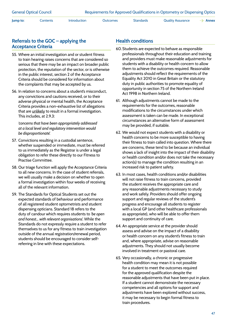#### **Referrals to the GOC – applying the Acceptance Criteria**

- 55. Where an initial investigation and or student fitness to train hearing raises concerns that are considered so serious that there may be an impact on broader public protection, the reputation of the sector, or is otherwise in the public interest, section 2 of the Acceptance Criteria should be considered for information about the complaints that may be accepted by us.
- 56. In relation to concerns about a student's misconduct, any convictions and cautions received, or to their adverse physical or mental health, the Acceptance Criteria provides a non-exhaustive list of allegations that are unlikely to result in a formal investigation. This includes, at 2.9.3:

*'concerns that have been appropriately addressed at a local level and regulatory intervention would be disproportionate'.*

- 57. Convictions resulting in a custodial sentence, whether suspended or immediate, must be referred to us immediately as the Registrar is under a legal obligation to refer these directly to our Fitness to Practise Committee.
- 58. Our triage function will apply the Acceptance Criteria to all new concerns. In the case of student referrals, we will usually make a decision on whether to open a formal investigation within four weeks of receiving all of the relevant information.
- 59. The Standards for Optical Students set out the expected standards of behaviour and performance of all registered student optometrists and student dispensing opticians. Standard 18 refers to the duty of candour which requires students to *'be open and honest… with relevant organisations*'. While the Standards do not expressly require a student to refer themselves to us for any fitness to train investigation outside of the annual registration/renewal period, students should be encouraged to consider selfreferring in line with these expectations.

#### **Health conditions**

- 60. Students are expected to behave as responsible professionals throughout their education and training and providers must make reasonable adjustments for students with a disability or health concern to allow them to achieve the outcomes required. Reasonable adjustments should reflect the requirements of the Equality Act 2010 in Great Britain or the statutory duty in public authorities to promote equality of opportunity in section 75 of the Northern Ireland Act 1998 in Northern Ireland.
- 61. Although adjustments cannot be made to the requirements for the outcomes, reasonable modifications to the circumstances under which assessment is taken can be made. In exceptional circumstances an alternative form of assessment may be provided, if suitable.
- 62. We would not expect students with a disability or health concerns to be more susceptible to having their fitness to train called into question. Where there are concerns, these tend to be because an individual shows a lack of insight into the impact of their disability or health condition and/or does not take the necessary action(s) to manage the condition resulting in an increased risk to patient safety.
- 63. In most cases, health conditions and/or disabilities will not raise fitness to train concerns, provided the student receives the appropriate care and any reasonable adjustments necessary to study and work safely. Providers should offer ongoing support and regular reviews of the student's progress and encourage all students to register with a local GP (and other healthcare professionals as appropriate), who will be able to offer them support and continuity of care.
- 64. An appropriate service at the provider should assess and advise on the impact of a disability or health concern on any student's fitness to train and, where appropriate, advise on reasonable adjustments. They should not usually become involved in treatment or pastoral care.
- 65. Very occasionally, a chronic or progressive health condition may mean it is not possible for a student to meet the outcomes required for the approved qualification despite the reasonable adjustments that have been put in place. If a student cannot demonstrate the necessary competencies and all options for support and adjustments have been explored without success, it may be necessary to begin formal fitness to train procedures.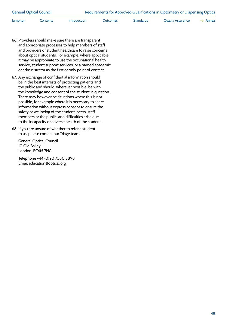| <b>General Optical Council</b> |          |                     | Requirements for Approved Qualifications in Optometry or Dispensing Optics |           |                   |                     |  |
|--------------------------------|----------|---------------------|----------------------------------------------------------------------------|-----------|-------------------|---------------------|--|
| Jump to:                       | Contents | <b>Introduction</b> | Outcomes                                                                   | Standards | Quality Assurance | $\rightarrow$ Annex |  |

- 66. Providers should make sure there are transparent and appropriate processes to help members of staff and providers of student healthcare to raise concerns about optical students. For example, where applicable, it may be appropriate to use the occupational health service, student support services, or a named academic or administrator as the first or only point of contact.
- 67. Any exchange of confidential information should be in the best interests of protecting patients and the public and should, wherever possible, be with the knowledge and consent of the student in question. There may however be situations where this is not possible, for example where it is necessary to share information without express consent to ensure the safety or wellbeing of the student, peers, staff members or the public, and difficulties arise due to the incapacity or adverse health of the student.
- 68. If you are unsure of whether to refer a student to us, please contact our Triage team:

General Optical Council 10 Old Bailey London, EC4M 7NG

Telephone +44 (0)20 7580 3898 Email education@optical.org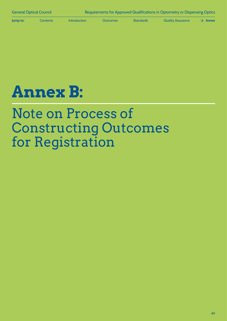<span id="page-50-0"></span>

# **Annex B:**

## Note on Process of Constructing Outcomes for Registration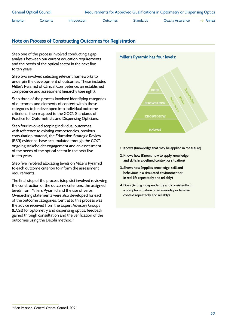| <b>General Optical Council</b> |          |                     | Requirements for Approved Qualifications in Optometry or Dispensing Optics |           |                          |                     |  |
|--------------------------------|----------|---------------------|----------------------------------------------------------------------------|-----------|--------------------------|---------------------|--|
| Jump to:                       | Contents | <b>Introduction</b> | Outcomes                                                                   | Standards | <b>Quality Assurance</b> | $\rightarrow$ Annex |  |

#### **Note on Process of Constructing Outcomes for Registration**

Step one of the process involved conducting a gap analysis between our current education requirements and the needs of the optical sector in the next five to ten years.

Step two involved selecting relevant frameworks to underpin the development of outcomes. These included Miller's Pyramid of Clinical Competence, an established competence and assessment hierarchy (see right).

Step three of the process involved identifying categories of outcomes and elements of content within those categories to be developed into individual outcome criterions, then mapped to the GOC's Standards of Practice for Optometrists and Dispensing Opticians.

Step four involved scoping individual outcomes with reference to existing competencies, previous consultation material, the Education Strategic Review (ESR) evidence-base accumulated through the GOC's ongoing stakeholder engagement and an assessment of the needs of the optical sector in the next five to ten years.

Step five involved allocating levels on Miller's Pyramid to each outcome criterion to inform the assessment requirements.

The final step of the process (step six) involved reviewing the construction of the outcome criterions, the assigned levels from Miller's Pyramid and the use of verbs. Overarching statements were also developed for each of the outcome categories. Central to this process was the advice received from the Expert Advisory Groups (EAGs) for optometry and dispensing optics, feedback gained through consultation and the verification of the outcomes using the Delphi method.<sup>13</sup>



- **1. Knows (Knowledge that may be applied in the future)**
- **2. Knows how (Knows how to apply knowledge and skills in a defined context or situation)**
- **3. Shows how (Applies knowledge, skill and behaviour in a simulated environment or in real life repeatedly and reliably)**
- **4.Does (Acting independently and consistently in a complex situation of an everyday or familiar context repeatedly and reliably)**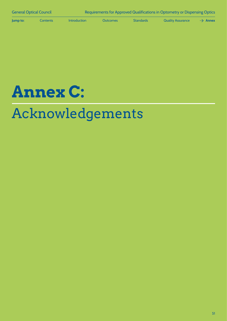<span id="page-52-0"></span>



## Acknowledgements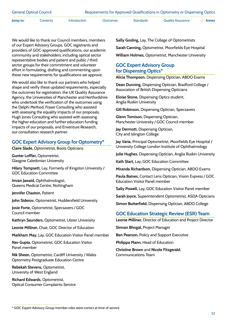| <b>General Optical Council</b> | Requirements for Approved Qualifications in Optometry or Dispensing Optics |
|--------------------------------|----------------------------------------------------------------------------|
|                                |                                                                            |

We would like to thank our Council members, members of our Expert Advisory Groups, GOC registrants and providers of GOC-approved qualifications, our academic community and stakeholders, including optical sector representative bodies and patient and public / third sector groups for their commitment and volunteer effort in formulating, drafting and commenting upon these new requirements for qualifications we approve.

We would also like to thank our partners who helped shape and verify these updated requirements, especially the outcomes for registration: the UK Quality Assurance Agency, the Universities of Manchester and Hertfordshire who undertook the verification of the outcomes using the Delphi Method, Fraser Consulting who assisted with assessing the equality impacts of our proposals, Hugh Jones Consulting who assisted with assessing the higher education and further education funding impacts of our proposals, and Enventure Research, our consultation research partner.

#### **GOC Expert Advisory Group for Optometry\***

**Claire Slade,** Optometrist, Boots Opticians

**Gunter Loffler,** Optometrist, Glasgow Caledonian University

**Hilary Tompsett,** Lay, Formerly of Kingston University / GOC Education Committee

**Imran Jawaid,** Ophthalmologist, Queens Medical Centre, Nottingham

**Jennifer Chaston,** Patient

**John Siderov,** Optometrist, Huddersfield University

**Josie Forte,** Optometrist, Specsavers / GOC Council member

**Kathryn Saunders,** Optometrist, Ulster University

**Leonie Milliner,** Chair, GOC Director of Education

**Markham May,** Lay, GOC Education Visitor Panel member

**Nav Gupta,** Optometrist, GOC Education Visitor Panel member

**Nik Sheen,** Optometrist, Cardiff University / Wales Optometry Postgraduate Education Centre

**Rebekah Stevens,** Optometrist, University of West England

**Richard Edwards,** Optometrist, Optical Consumer Complaints Service **Sally Gosling,** Lay, The College of Optometrists **Sarah Canning,** Optometrist, Moorfields Eye Hospital **William Holmes,** Optometrist, Manchester University

#### **GOC Expert Advisory Group for Dispensing Optics\***

**Alicia Thompson,** Dispensing Optician, ABDO Exams

**Dean Dunning,** Dispensing Optician, Bradford College / Association of British Dispensing Opticians

**Eloise Stone,** Dispensing Optics student, Anglia Ruskin University

**Gill Robinson,** Dispensing Optician, Specsavers

**Glenn Tomison,** Dispensing Optician, Manchester University / GOC Council member

**Jay Dermott,** Dispensing Optician, City and Islington College

**Jay Varia,** Principal Optometrist, Moorfields Eye Hospital / University College London Institute of Ophthalmology

**Julie Hughes,** Dispensing Optician, Anglia Ruskin University

**Kath Start,** Lay, GOC Education Committee

**Miranda Richardson,** Dispensing Optician, ABDO Exams

**Paula Baines,** Contact Lens Optician, Vision Express / GOC Education Visitor Panel member

**Sally Powell,** Lay, GOC Education Visitor Panel member

**Sarah Joyce,** Superintendent Optometrist, ASDA Opticians

**Simon Butterfield,** Dispensing Optician, ABDO College

#### **GOC Education Strategic Review (ESR) Team**

**Leonie Milliner,** Director of Education and Project Director

**Simran Bhogal,** Project Manager

**Ben Pearson,** Policy and Support Executive

**Philippa Mann,** Head of Education

**Christine Brown** and **Nicole Fitzgerald**, Communications Team

<sup>\*</sup> GOC Expert Advisory Group member roles were correct at time of service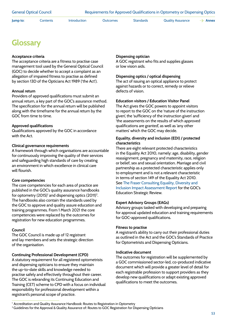<span id="page-54-0"></span>

## **Glossary**

#### **Acceptance criteria**

The acceptance criteria are a fitness to practise case management tool used by the General Optical Council (GOC) to decide whether to accept a complaint as an allegation of impaired fitness to practise as defined by section 13D of the Opticians Act 1989 ('the Act').

#### **Annual return**

Providers of approved qualifications must submit an annual return, a key part of the GOC's assurance method. The specification for the annual return will be published along with the timeframe for the annual return by the GOC from time to time.

#### **Approved qualifications**

Qualifications approved by the GOC in accordance with the Act.

#### **Clinical governance requirements**

A framework through which organisations are accountable for continuously improving the quality of their services and safeguarding high standards of care by creating an environment in which excellence in clinical care will flourish.

#### **Core competencies**

The core competencies for each area of practice are published in the GOC's quality assurance handbooks for optometry (2015) $^{\circ}$  and dispensing optics (2011) $^{\circ}$ . The handbooks also contain the standards used by the GOC to approve and quality assure education and training programmes. From 1 March 2021 the core competencies were replaced by the outcomes for registration for new education programmes.

#### **Council**

The GOC Council is made up of 12 registrant and lay members and sets the strategic direction of the organisation.

#### **Continuing Professional Development (CPD)**

A statutory requirement for all registered optometrists and dispensing opticians to ensure they maintain the up-to-date skills and knowledge needed to practise safely and effectively throughout their career. The GOC is rebranding its Continuing Education and Training (CET) scheme to CPD with a focus on individual responsibility for professional development within a registrant's personal scope of practice.

#### **Dispensing optician**

A GOC registrant who fits and supplies glasses or low vision aids.

#### **Dispensing optics / optical dispensing**

The act of issuing an optical appliance to protect against hazards or to correct, remedy or relieve defects of vision.

#### **Education visitors / Education Visitor Panel**

The Act gives the GOC powers to appoint visitors to report to the GOC on the 'nature of the instruction given', the 'sufficiency of the instruction given' and 'the assessments on the results of which approved qualifications are granted', as well as 'any other matters' which the GOC may decide.

#### **Equality, diversity and inclusion (EDI) / protected characteristics**

There are eight relevant protected characteristics in the Equality Act 2010, namely: age, disability, gender reassignment, pregnancy and maternity, race, religion or belief, sex and sexual orientation. Marriage and civil partnership as a protected characteristic applies only to employment and is not a relevant characteristic in terms of section 149 of the Equality Act 2010. See [The Fraser Consulting Equality, Diversity and](https://www.optical.org/filemanager/root/site_assets/education/education_strategic_review/supplementary_reading/edi_impact_assessment_final_v2.pdf)  [Inclusion Impact Assessment Report](https://www.optical.org/filemanager/root/site_assets/education/education_strategic_review/supplementary_reading/edi_impact_assessment_final_v2.pdf) for the GOC's Education Strategic Review.

#### **Expert Advisory Groups (EAGs)**

Advisory groups tasked with developing and preparing for approval updated education and training requirements for GOC-approved qualifications.

#### **Fitness to practise**

A registrant's ability to carry out their professional duties as outlined in the Act and the GOC's Standards of Practice for Optometrists and Dispensing Opticians.

#### **Indicative document**

The outcomes for registration will be supplemented by a GOC commissioned sector-led, co-produced indicative document which will provide a greater level of detail for each registrable profession to support providers as they develop new qualifications or adapt existing approved qualifications to meet the outcomes.

<sup>1</sup> Accreditation and Quality Assurance Handbook: Routes to Registration in Optometry

<sup>&</sup>lt;sup>2</sup> Guidelines for the Approval & Quality Assurance of: Routes to GOC Registration for Dispensing Opticians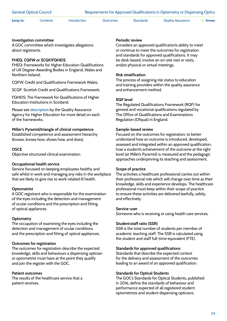General Optical Council Requirements for Approved Qualifications in Optometry or Dispensing Optics

**Jump to:** [Contents](#page-1-0) [Introduction](#page-4-0) [Outcomes](#page-7-0) [Standards](#page-22-0) [Quality Assurance](#page-33-0)  $\rightarrow$  [Annex](#page-42-0)

**Investigation committee**

A GOC committee which investigates allegations about registrants.

#### **FHEQ, CQFW or SCQF/FQHEIS**

FHEQ: Frameworks for Higher Education Qualifications of UK Degree-Awarding Bodies in England, Wales and Northern Ireland;

CQFW: Credit and Qualifications Framework Wales;

SCQF: Scottish Credit and Qualifications Framework;

FQHEIS: The Framework for Qualifications of Higher Education Institutions in Scotland.

Please see [descriptors](https://www.qaa.ac.uk/docs/qaa/quality-code/qualifications-frameworks.pdf) by the Quality Assurance Agency for Higher Education for more detail on each of the frameworks.

**Miller's Pyramid/triangle of clinical competence** Established competence and assessment hierarchy

(knows, knows how, shows how, and does).

#### **OSCE**

Objective structured clinical examination.

#### **Occupational health service**

Service focussed on keeping employees healthy and safe whilst in work and managing any risks in the workplace that are likely to give rise to work-related ill health.

#### **Optometrist**

A GOC registrant who is responsible for the examination of the eyes including the detection and management of ocular conditions and the prescription and fitting of optical appliances.

#### **Optometry**

The occupation of examining the eyes including the detection and management of ocular conditions and the prescription and fitting of optical appliances.

#### **Outcomes for registration**

The outcomes for registration describe the expected knowledge, skills and behaviours a dispensing optician or optometrist must have at the point they qualify and join the register with the GOC.

#### **Patient outcomes**

The results of the healthcare service that a patient receives.

#### **Periodic review**

Considers an approved qualification's ability to meet or continue to meet the outcomes for registration and standards for approved qualifications. It may be desk-based, involve an on-site visit or visits, and/or physical or virtual meetings.

#### **Risk stratification**

The process of assigning risk status to education and training providers within the quality assurance and enhancement method.

#### **RQF level**

The Regulated Qualifications Framework (RQF) for general and vocational qualifications regulated by The Office of Qualifications and Examinations Regulation (Ofqual) in England.

#### **Sample-based review**

Focused on the outcomes for registration; to better understand how an outcome is introduced, developed, assessed and integrated within an approved qualification, how a student's achievement of the outcome at the right level (at Miller's Pyramid) is measured and the pedagogic approaches underpinning its teaching and assessment.

#### **Scope of practice**

The activities a healthcare professional carries out within their professional role which will change over time as their knowledge, skills and experience develops. The healthcare professional must keep within their scope of practice to ensure these activities are delivered lawfully, safely, and effectively.

#### **Service-user**

Someone who is receiving or using health care services.

#### **Student:staff ratio (SSR)**

SSR is the total number of students per member of academic teaching staff. The SSR is calculated using the student and staff full-time equivalent (FTE).

#### **Standards for approved qualifications**

Standards that describe the expected context for the delivery and assessment of the outcomes leading to an award of an approved qualification.

#### **Standards for Optical Students**

The GOC's Standards for Optical Students, published in 2016, define the standards of behaviour and performance expected of all registered student optometrists and student dispensing opticians.